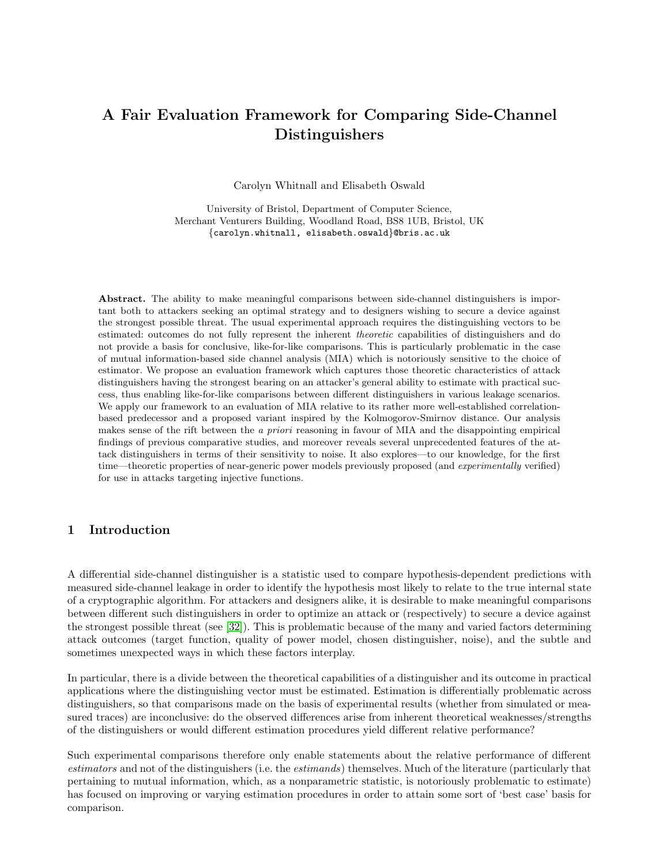# A Fair Evaluation Framework for Comparing Side-Channel Distinguishers

Carolyn Whitnall and Elisabeth Oswald

University of Bristol, Department of Computer Science, Merchant Venturers Building, Woodland Road, BS8 1UB, Bristol, UK {carolyn.whitnall, elisabeth.oswald}@bris.ac.uk

Abstract. The ability to make meaningful comparisons between side-channel distinguishers is important both to attackers seeking an optimal strategy and to designers wishing to secure a device against the strongest possible threat. The usual experimental approach requires the distinguishing vectors to be estimated: outcomes do not fully represent the inherent theoretic capabilities of distinguishers and do not provide a basis for conclusive, like-for-like comparisons. This is particularly problematic in the case of mutual information-based side channel analysis (MIA) which is notoriously sensitive to the choice of estimator. We propose an evaluation framework which captures those theoretic characteristics of attack distinguishers having the strongest bearing on an attacker's general ability to estimate with practical success, thus enabling like-for-like comparisons between different distinguishers in various leakage scenarios. We apply our framework to an evaluation of MIA relative to its rather more well-established correlationbased predecessor and a proposed variant inspired by the Kolmogorov-Smirnov distance. Our analysis makes sense of the rift between the a priori reasoning in favour of MIA and the disappointing empirical findings of previous comparative studies, and moreover reveals several unprecedented features of the attack distinguishers in terms of their sensitivity to noise. It also explores—to our knowledge, for the first time—theoretic properties of near-generic power models previously proposed (and *experimentally* verified) for use in attacks targeting injective functions.

## 1 Introduction

A differential side-channel distinguisher is a statistic used to compare hypothesis-dependent predictions with measured side-channel leakage in order to identify the hypothesis most likely to relate to the true internal state of a cryptographic algorithm. For attackers and designers alike, it is desirable to make meaningful comparisons between different such distinguishers in order to optimize an attack or (respectively) to secure a device against the strongest possible threat (see [\[32\]](#page-19-0)). This is problematic because of the many and varied factors determining attack outcomes (target function, quality of power model, chosen distinguisher, noise), and the subtle and sometimes unexpected ways in which these factors interplay.

In particular, there is a divide between the theoretical capabilities of a distinguisher and its outcome in practical applications where the distinguishing vector must be estimated. Estimation is differentially problematic across distinguishers, so that comparisons made on the basis of experimental results (whether from simulated or measured traces) are inconclusive: do the observed differences arise from inherent theoretical weaknesses/strengths of the distinguishers or would different estimation procedures yield different relative performance?

Such experimental comparisons therefore only enable statements about the relative performance of different estimators and not of the distinguishers (i.e. the estimands) themselves. Much of the literature (particularly that pertaining to mutual information, which, as a nonparametric statistic, is notoriously problematic to estimate) has focused on improving or varying estimation procedures in order to attain some sort of 'best case' basis for comparison.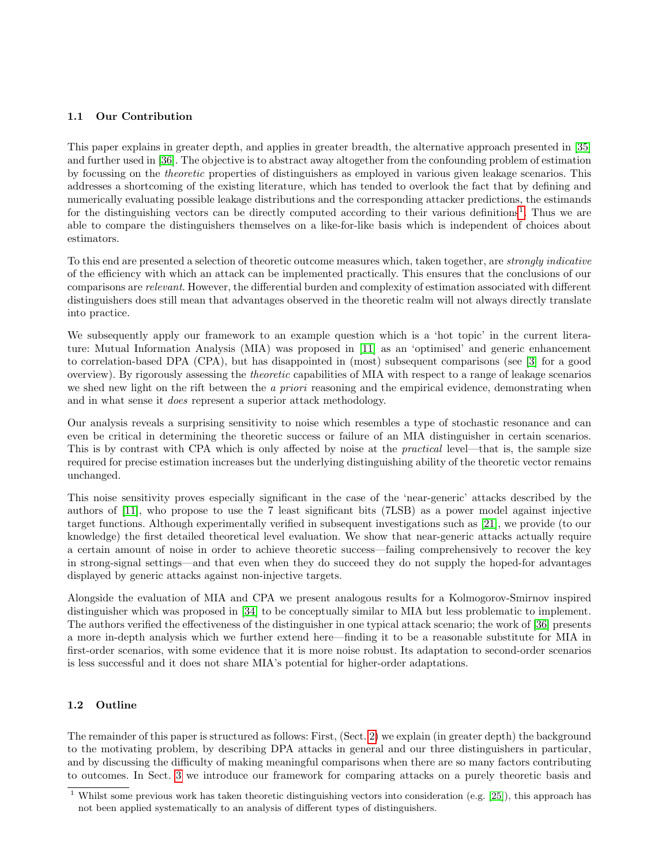## 1.1 Our Contribution

This paper explains in greater depth, and applies in greater breadth, the alternative approach presented in [\[35\]](#page-19-1) and further used in [\[36\]](#page-19-2). The objective is to abstract away altogether from the confounding problem of estimation by focussing on the theoretic properties of distinguishers as employed in various given leakage scenarios. This addresses a shortcoming of the existing literature, which has tended to overlook the fact that by defining and numerically evaluating possible leakage distributions and the corresponding attacker predictions, the estimands for the distinguishing vectors can be directly computed according to their various definitions<sup>[1](#page-1-0)</sup>. Thus we are able to compare the distinguishers themselves on a like-for-like basis which is independent of choices about estimators.

To this end are presented a selection of theoretic outcome measures which, taken together, are strongly indicative of the efficiency with which an attack can be implemented practically. This ensures that the conclusions of our comparisons are relevant. However, the differential burden and complexity of estimation associated with different distinguishers does still mean that advantages observed in the theoretic realm will not always directly translate into practice.

We subsequently apply our framework to an example question which is a 'hot topic' in the current literature: Mutual Information Analysis (MIA) was proposed in [\[11\]](#page-18-0) as an 'optimised' and generic enhancement to correlation-based DPA (CPA), but has disappointed in (most) subsequent comparisons (see [\[3\]](#page-18-1) for a good overview). By rigorously assessing the theoretic capabilities of MIA with respect to a range of leakage scenarios we shed new light on the rift between the *a priori* reasoning and the empirical evidence, demonstrating when and in what sense it does represent a superior attack methodology.

Our analysis reveals a surprising sensitivity to noise which resembles a type of stochastic resonance and can even be critical in determining the theoretic success or failure of an MIA distinguisher in certain scenarios. This is by contrast with CPA which is only affected by noise at the *practical* level—that is, the sample size required for precise estimation increases but the underlying distinguishing ability of the theoretic vector remains unchanged.

This noise sensitivity proves especially significant in the case of the 'near-generic' attacks described by the authors of [\[11\]](#page-18-0), who propose to use the 7 least significant bits (7LSB) as a power model against injective target functions. Although experimentally verified in subsequent investigations such as [\[21\]](#page-18-2), we provide (to our knowledge) the first detailed theoretical level evaluation. We show that near-generic attacks actually require a certain amount of noise in order to achieve theoretic success—failing comprehensively to recover the key in strong-signal settings—and that even when they do succeed they do not supply the hoped-for advantages displayed by generic attacks against non-injective targets.

Alongside the evaluation of MIA and CPA we present analogous results for a Kolmogorov-Smirnov inspired distinguisher which was proposed in [\[34\]](#page-19-3) to be conceptually similar to MIA but less problematic to implement. The authors verified the effectiveness of the distinguisher in one typical attack scenario; the work of [\[36\]](#page-19-2) presents a more in-depth analysis which we further extend here—finding it to be a reasonable substitute for MIA in first-order scenarios, with some evidence that it is more noise robust. Its adaptation to second-order scenarios is less successful and it does not share MIA's potential for higher-order adaptations.

#### 1.2 Outline

The remainder of this paper is structured as follows: First, (Sect. [2\)](#page-2-0) we explain (in greater depth) the background to the motivating problem, by describing DPA attacks in general and our three distinguishers in particular, and by discussing the difficulty of making meaningful comparisons when there are so many factors contributing to outcomes. In Sect. [3](#page-7-0) we introduce our framework for comparing attacks on a purely theoretic basis and

<span id="page-1-0"></span><sup>1</sup> Whilst some previous work has taken theoretic distinguishing vectors into consideration (e.g. [\[25\]](#page-18-3)), this approach has not been applied systematically to an analysis of different types of distinguishers.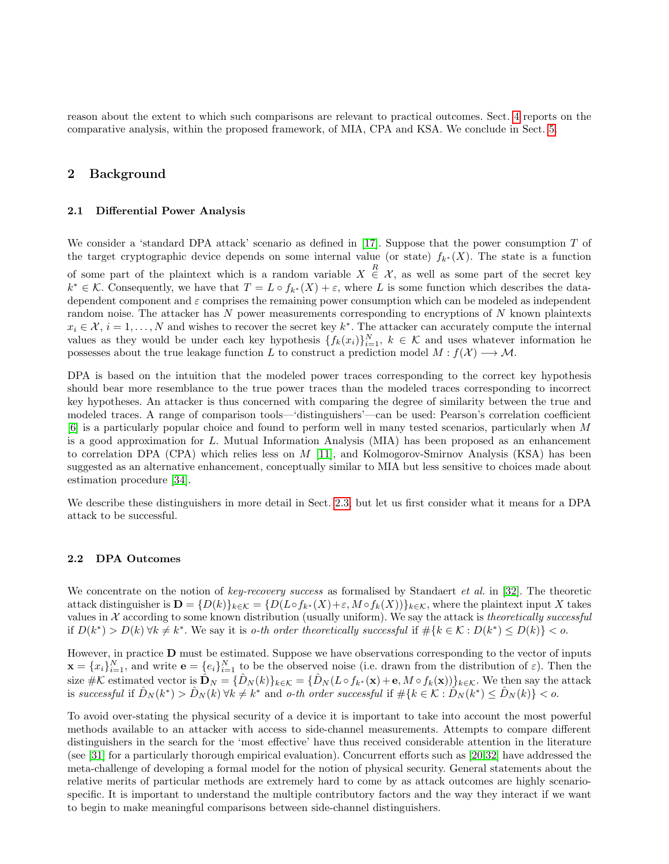reason about the extent to which such comparisons are relevant to practical outcomes. Sect. [4](#page-9-0) reports on the comparative analysis, within the proposed framework, of MIA, CPA and KSA. We conclude in Sect. [5.](#page-17-0)

# <span id="page-2-0"></span>2 Background

#### 2.1 Differential Power Analysis

We consider a 'standard DPA attack' scenario as defined in  $[17]$ . Suppose that the power consumption T of the target cryptographic device depends on some internal value (or state)  $f_{k^*}(X)$ . The state is a function of some part of the plaintext which is a random variable  $X \stackrel{R}{\in} \mathcal{X}$ , as well as some part of the secret key  $k^* \in \mathcal{K}$ . Consequently, we have that  $T = L \circ f_{k^*}(X) + \varepsilon$ , where L is some function which describes the datadependent component and  $\varepsilon$  comprises the remaining power consumption which can be modeled as independent random noise. The attacker has  $N$  power measurements corresponding to encryptions of  $N$  known plaintexts  $x_i \in \mathcal{X}, i = 1, \ldots, N$  and wishes to recover the secret key  $k^*$ . The attacker can accurately compute the internal values as they would be under each key hypothesis  $\{f_k(x_i)\}_{i=1}^N$ ,  $k \in \mathcal{K}$  and uses whatever information he possesses about the true leakage function L to construct a prediction model  $M : f(\mathcal{X}) \longrightarrow \mathcal{M}$ .

DPA is based on the intuition that the modeled power traces corresponding to the correct key hypothesis should bear more resemblance to the true power traces than the modeled traces corresponding to incorrect key hypotheses. An attacker is thus concerned with comparing the degree of similarity between the true and modeled traces. A range of comparison tools—'distinguishers'—can be used: Pearson's correlation coefficient [\[6\]](#page-18-5) is a particularly popular choice and found to perform well in many tested scenarios, particularly when M is a good approximation for L. Mutual Information Analysis (MIA) has been proposed as an enhancement to correlation DPA (CPA) which relies less on M [\[11\]](#page-18-0), and Kolmogorov-Smirnov Analysis (KSA) has been suggested as an alternative enhancement, conceptually similar to MIA but less sensitive to choices made about estimation procedure [\[34\]](#page-19-3).

We describe these distinguishers in more detail in Sect. [2.3,](#page-4-0) but let us first consider what it means for a DPA attack to be successful.

#### <span id="page-2-1"></span>2.2 DPA Outcomes

We concentrate on the notion of key-recovery success as formalised by Standaert et al. in [\[32\]](#page-19-0). The theoretic attack distinguisher is  $\mathbf{D} = \{D(k)\}_{k \in \mathcal{K}} = \{D(L \circ f_{k^*}(X) + \varepsilon, M \circ f_k(X))\}_{k \in \mathcal{K}}$ , where the plaintext input X takes values in  $X$  according to some known distribution (usually uniform). We say the attack is theoretically successful if  $D(k^*) > D(k)$   $\forall k \neq k^*$ . We say it is *o-th order theoretically successful* if  $\#\{k \in \mathcal{K} : D(k^*) \leq D(k)\} < \infty$ .

However, in practice D must be estimated. Suppose we have observations corresponding to the vector of inputs  $\mathbf{x} = \{x_i\}_{i=1}^N$ , and write  $\mathbf{e} = \{e_i\}_{i=1}^N$  to be the observed noise (i.e. drawn from the distribution of  $\varepsilon$ ). Then the size  $\#\mathcal{K}$  estimated vector is  $\hat{\mathbf{D}}_N = \{\hat{D}_N(k)\}_{k\in\mathcal{K}} = \{\hat{D}_N(L \circ f_{k^*}(\mathbf{x}) + \mathbf{e}, M \circ f_k(\mathbf{x}))\}_{k\in\mathcal{K}}$ . We then say the attack is successful if  $\hat{D}_N(k^*) > \hat{D}_N(k)$   $\forall k \neq k^*$  and o-th order successful if  $\#\{k \in \mathcal{K} : \hat{D}_N(k^*) \leq \hat{D}_N(k)\} < \infty$ .

To avoid over-stating the physical security of a device it is important to take into account the most powerful methods available to an attacker with access to side-channel measurements. Attempts to compare different distinguishers in the search for the 'most effective' have thus received considerable attention in the literature (see [\[31\]](#page-19-4) for a particularly thorough empirical evaluation). Concurrent efforts such as [\[20,](#page-18-6)[32\]](#page-19-0) have addressed the meta-challenge of developing a formal model for the notion of physical security. General statements about the relative merits of particular methods are extremely hard to come by as attack outcomes are highly scenariospecific. It is important to understand the multiple contributory factors and the way they interact if we want to begin to make meaningful comparisons between side-channel distinguishers.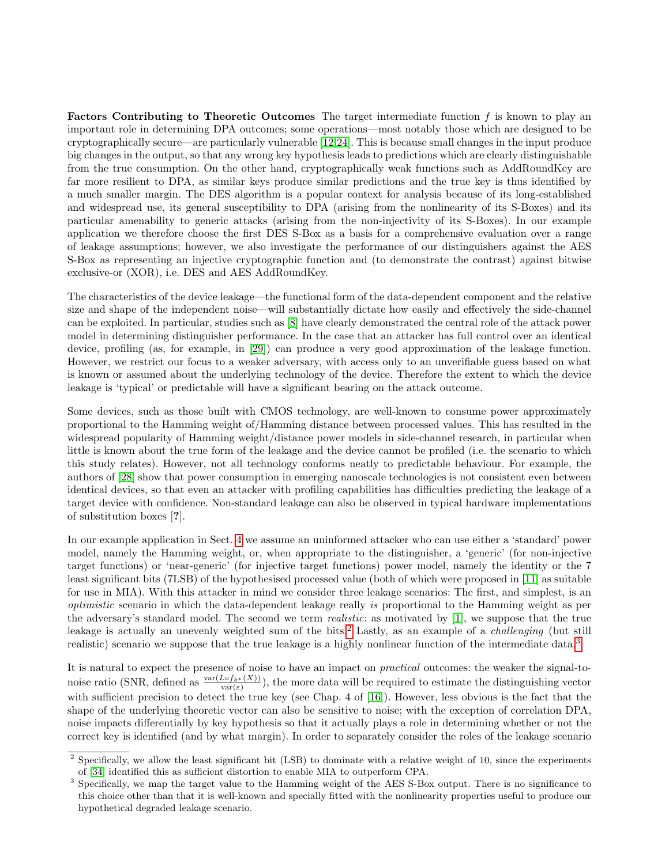<span id="page-3-2"></span>Factors Contributing to Theoretic Outcomes The target intermediate function f is known to play an important role in determining DPA outcomes; some operations—most notably those which are designed to be cryptographically secure—are particularly vulnerable [\[12,](#page-18-7)[24\]](#page-18-8). This is because small changes in the input produce big changes in the output, so that any wrong key hypothesis leads to predictions which are clearly distinguishable from the true consumption. On the other hand, cryptographically weak functions such as AddRoundKey are far more resilient to DPA, as similar keys produce similar predictions and the true key is thus identified by a much smaller margin. The DES algorithm is a popular context for analysis because of its long-established and widespread use, its general susceptibility to DPA (arising from the nonlinearity of its S-Boxes) and its particular amenability to generic attacks (arising from the non-injectivity of its S-Boxes). In our example application we therefore choose the first DES S-Box as a basis for a comprehensive evaluation over a range of leakage assumptions; however, we also investigate the performance of our distinguishers against the AES S-Box as representing an injective cryptographic function and (to demonstrate the contrast) against bitwise exclusive-or (XOR), i.e. DES and AES AddRoundKey.

The characteristics of the device leakage—the functional form of the data-dependent component and the relative size and shape of the independent noise—will substantially dictate how easily and effectively the side-channel can be exploited. In particular, studies such as [\[8\]](#page-18-9) have clearly demonstrated the central role of the attack power model in determining distinguisher performance. In the case that an attacker has full control over an identical device, profiling (as, for example, in [\[29\]](#page-18-10)) can produce a very good approximation of the leakage function. However, we restrict our focus to a weaker adversary, with access only to an unverifiable guess based on what is known or assumed about the underlying technology of the device. Therefore the extent to which the device leakage is 'typical' or predictable will have a significant bearing on the attack outcome.

Some devices, such as those built with CMOS technology, are well-known to consume power approximately proportional to the Hamming weight of/Hamming distance between processed values. This has resulted in the widespread popularity of Hamming weight/distance power models in side-channel research, in particular when little is known about the true form of the leakage and the device cannot be profiled (i.e. the scenario to which this study relates). However, not all technology conforms neatly to predictable behaviour. For example, the authors of [\[28\]](#page-18-11) show that power consumption in emerging nanoscale technologies is not consistent even between identical devices, so that even an attacker with profiling capabilities has difficulties predicting the leakage of a target device with confidence. Non-standard leakage can also be observed in typical hardware implementations of substitution boxes [?].

In our example application in Sect. [4](#page-9-0) we assume an uninformed attacker who can use either a 'standard' power model, namely the Hamming weight, or, when appropriate to the distinguisher, a 'generic' (for non-injective target functions) or 'near-generic' (for injective target functions) power model, namely the identity or the 7 least significant bits (7LSB) of the hypothesised processed value (both of which were proposed in [\[11\]](#page-18-0) as suitable for use in MIA). With this attacker in mind we consider three leakage scenarios: The first, and simplest, is an optimistic scenario in which the data-dependent leakage really is proportional to the Hamming weight as per the adversary's standard model. The second we term realistic: as motivated by [\[1\]](#page-17-1), we suppose that the true leakage is actually an unevenly weighted sum of the bits.<sup>[2](#page-3-0)</sup> Lastly, as an example of a *challenging* (but still realistic) scenario we suppose that the true leakage is a highly nonlinear function of the intermediate data.[3](#page-3-1)

It is natural to expect the presence of noise to have an impact on practical outcomes: the weaker the signal-tonoise ratio (SNR, defined as  $\frac{\text{var}(L \circ f_{k^*}(X))}{\text{var}(\varepsilon)}$ ), the more data will be required to estimate the distinguishing vector with sufficient precision to detect the true key (see Chap. 4 of [\[16\]](#page-18-12)). However, less obvious is the fact that the shape of the underlying theoretic vector can also be sensitive to noise; with the exception of correlation DPA, noise impacts differentially by key hypothesis so that it actually plays a role in determining whether or not the correct key is identified (and by what margin). In order to separately consider the roles of the leakage scenario

<span id="page-3-0"></span><sup>&</sup>lt;sup>2</sup> Specifically, we allow the least significant bit (LSB) to dominate with a relative weight of 10, since the experiments of [\[34\]](#page-19-3) identified this as sufficient distortion to enable MIA to outperform CPA.

<span id="page-3-1"></span><sup>&</sup>lt;sup>3</sup> Specifically, we map the target value to the Hamming weight of the AES S-Box output. There is no significance to this choice other than that it is well-known and specially fitted with the nonlinearity properties useful to produce our hypothetical degraded leakage scenario.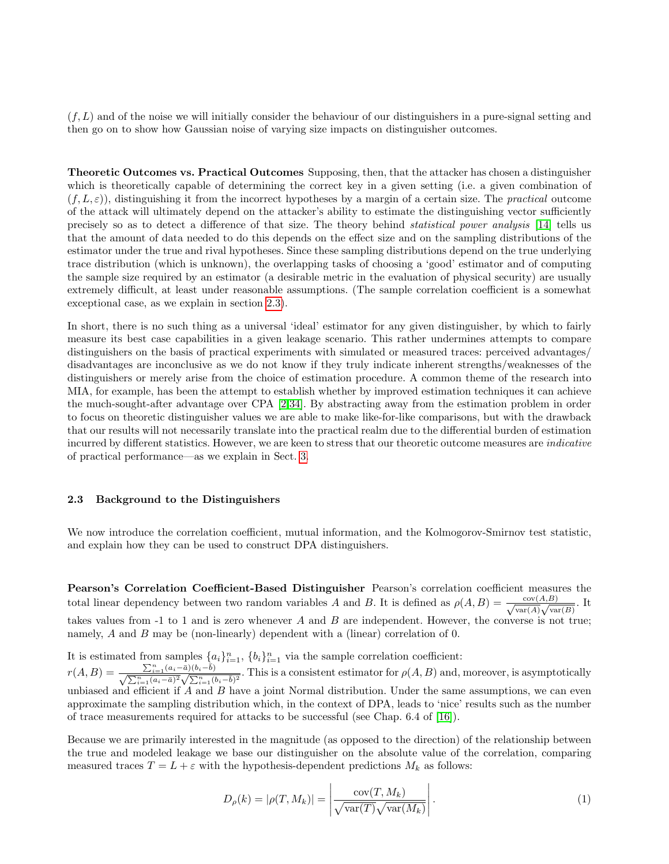$(f, L)$  and of the noise we will initially consider the behaviour of our distinguishers in a pure-signal setting and then go on to show how Gaussian noise of varying size impacts on distinguisher outcomes.

Theoretic Outcomes vs. Practical Outcomes Supposing, then, that the attacker has chosen a distinguisher which is theoretically capable of determining the correct key in a given setting (i.e. a given combination of  $(f, L, \varepsilon)$ , distinguishing it from the incorrect hypotheses by a margin of a certain size. The *practical* outcome of the attack will ultimately depend on the attacker's ability to estimate the distinguishing vector sufficiently precisely so as to detect a difference of that size. The theory behind statistical power analysis [\[14\]](#page-18-13) tells us that the amount of data needed to do this depends on the effect size and on the sampling distributions of the estimator under the true and rival hypotheses. Since these sampling distributions depend on the true underlying trace distribution (which is unknown), the overlapping tasks of choosing a 'good' estimator and of computing the sample size required by an estimator (a desirable metric in the evaluation of physical security) are usually extremely difficult, at least under reasonable assumptions. (The sample correlation coefficient is a somewhat exceptional case, as we explain in section [2.3\)](#page-4-1).

In short, there is no such thing as a universal 'ideal' estimator for any given distinguisher, by which to fairly measure its best case capabilities in a given leakage scenario. This rather undermines attempts to compare distinguishers on the basis of practical experiments with simulated or measured traces: perceived advantages/ disadvantages are inconclusive as we do not know if they truly indicate inherent strengths/weaknesses of the distinguishers or merely arise from the choice of estimation procedure. A common theme of the research into MIA, for example, has been the attempt to establish whether by improved estimation techniques it can achieve the much-sought-after advantage over CPA [\[2,](#page-18-14)[34\]](#page-19-3). By abstracting away from the estimation problem in order to focus on theoretic distinguisher values we are able to make like-for-like comparisons, but with the drawback that our results will not necessarily translate into the practical realm due to the differential burden of estimation incurred by different statistics. However, we are keen to stress that our theoretic outcome measures are indicative of practical performance—as we explain in Sect. [3.](#page-7-0)

#### <span id="page-4-0"></span>2.3 Background to the Distinguishers

We now introduce the correlation coefficient, mutual information, and the Kolmogorov-Smirnov test statistic, and explain how they can be used to construct DPA distinguishers.

<span id="page-4-1"></span>Pearson's Correlation Coefficient-Based Distinguisher Pearson's correlation coefficient measures the total linear dependency between two random variables A and B. It is defined as  $\rho(A, B) = \frac{\text{cov}(A, B)}{\sqrt{A}}$  $\frac{\text{cov}(A,B)}{\text{var}(A)}\sqrt{\text{var}(B)}$ . It takes values from  $-1$  to 1 and is zero whenever A and B are independent. However, the converse is not true; namely, A and B may be (non-linearly) dependent with a (linear) correlation of 0.

It is estimated from samples  $\{a_i\}_{i=1}^n$ ,  $\{b_i\}_{i=1}^n$  via the sample correlation coefficient:  $r(A, B) = \frac{\sum_{i=1}^{n} (a_i - \bar{a})(b_i - \bar{b})}{\sqrt{\sum_{i=1}^{n} (a_i - \bar{a})^2} \sqrt{\sum_{i=1}^{n} (b_i - \bar{b})^2}}$ . This is a consistent estimator for  $\rho(A, B)$  and, moreover, is asymptotically unbiased and efficient if  $A$  and  $B$  have a joint Normal distribution. Under the same assumptions, we can even approximate the sampling distribution which, in the context of DPA, leads to 'nice' results such as the number of trace measurements required for attacks to be successful (see Chap. 6.4 of  $[16]$ ).

Because we are primarily interested in the magnitude (as opposed to the direction) of the relationship between the true and modeled leakage we base our distinguisher on the absolute value of the correlation, comparing measured traces  $T = L + \varepsilon$  with the hypothesis-dependent predictions  $M_k$  as follows:

<span id="page-4-2"></span>
$$
D_{\rho}(k) = |\rho(T, M_k)| = \left| \frac{\text{cov}(T, M_k)}{\sqrt{\text{var}(T)} \sqrt{\text{var}(M_k)}} \right|.
$$
\n(1)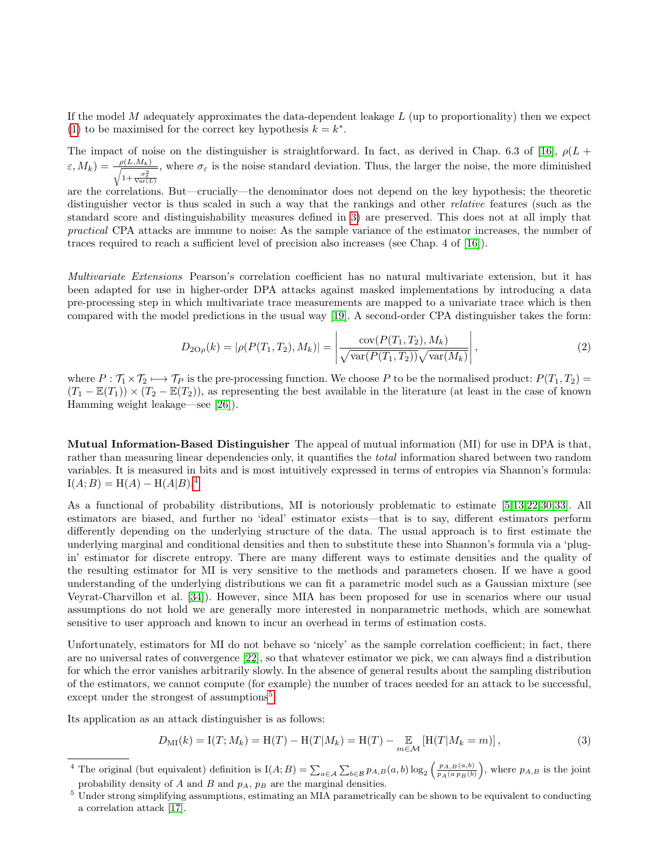If the model M adequately approximates the data-dependent leakage  $L$  (up to proportionality) then we expect [\(1\)](#page-4-2) to be maximised for the correct key hypothesis  $k = k^*$ .

The impact of noise on the distinguisher is straightforward. In fact, as derived in Chap. 6.3 of [\[16\]](#page-18-12),  $\rho(L +$  $\varepsilon, M_k) = \frac{\rho(L,M_k)}{\sqrt{c^2}}$  $1+\frac{\sigma_{\varepsilon}^2}{\text{Var}(L)}$ , where  $\sigma_{\varepsilon}$  is the noise standard deviation. Thus, the larger the noise, the more diminished

are the correlations. But—crucially—the denominator does not depend on the key hypothesis; the theoretic distinguisher vector is thus scaled in such a way that the rankings and other relative features (such as the standard score and distinguishability measures defined in [3\)](#page-7-0) are preserved. This does not at all imply that practical CPA attacks are immune to noise: As the sample variance of the estimator increases, the number of traces required to reach a sufficient level of precision also increases (see Chap. 4 of [\[16\]](#page-18-12)).

Multivariate Extensions Pearson's correlation coefficient has no natural multivariate extension, but it has been adapted for use in higher-order DPA attacks against masked implementations by introducing a data pre-processing step in which multivariate trace measurements are mapped to a univariate trace which is then compared with the model predictions in the usual way [\[19\]](#page-18-15). A second-order CPA distinguisher takes the form:

$$
D_{2\text{O}\rho}(k) = |\rho(P(T_1, T_2), M_k)| = \left| \frac{\text{cov}(P(T_1, T_2), M_k)}{\sqrt{\text{var}(P(T_1, T_2))}\sqrt{\text{var}(M_k)}} \right|,
$$
\n(2)

where  $P : \mathcal{T}_1 \times \mathcal{T}_2 \longrightarrow \mathcal{T}_P$  is the pre-processing function. We choose P to be the normalised product:  $P(T_1, T_2) =$  $(T_1 - \mathbb{E}(T_1)) \times (T_2 - \mathbb{E}(T_2))$ , as representing the best available in the literature (at least in the case of known Hamming weight leakage—see [\[26\]](#page-18-16)).

Mutual Information-Based Distinguisher The appeal of mutual information (MI) for use in DPA is that, rather than measuring linear dependencies only, it quantifies the *total* information shared between two random variables. It is measured in bits and is most intuitively expressed in terms of entropies via Shannon's formula:  $I(A; B) = H(A) - H(A|B).<sup>4</sup>$  $I(A; B) = H(A) - H(A|B).<sup>4</sup>$  $I(A; B) = H(A) - H(A|B).<sup>4</sup>$ 

As a functional of probability distributions, MI is notoriously problematic to estimate [\[5,](#page-18-17)[13,](#page-18-18)[22,](#page-18-19)[30,](#page-18-20)[33\]](#page-19-5). All estimators are biased, and further no 'ideal' estimator exists—that is to say, different estimators perform differently depending on the underlying structure of the data. The usual approach is to first estimate the underlying marginal and conditional densities and then to substitute these into Shannon's formula via a 'plugin' estimator for discrete entropy. There are many different ways to estimate densities and the quality of the resulting estimator for MI is very sensitive to the methods and parameters chosen. If we have a good understanding of the underlying distributions we can fit a parametric model such as a Gaussian mixture (see Veyrat-Charvillon et al. [\[34\]](#page-19-3)). However, since MIA has been proposed for use in scenarios where our usual assumptions do not hold we are generally more interested in nonparametric methods, which are somewhat sensitive to user approach and known to incur an overhead in terms of estimation costs.

Unfortunately, estimators for MI do not behave so 'nicely' as the sample correlation coefficient; in fact, there are no universal rates of convergence [\[22\]](#page-18-19), so that whatever estimator we pick, we can always find a distribution for which the error vanishes arbitrarily slowly. In the absence of general results about the sampling distribution of the estimators, we cannot compute (for example) the number of traces needed for an attack to be successful, except under the strongest of assumptions<sup>[5](#page-5-1)</sup>.

Its application as an attack distinguisher is as follows:

<span id="page-5-2"></span>
$$
D_{\rm MI}(k) = I(T; M_k) = H(T) - H(T|M_k) = H(T) - \mathop{\mathbb{E}}_{m \in \mathcal{M}} \left[ H(T|M_k = m) \right],
$$
\n(3)

<span id="page-5-0"></span><sup>&</sup>lt;sup>4</sup> The original (but equivalent) definition is  $I(A;B) = \sum_{a \in A} \sum_{b \in B} p_{A,B}(a,b) \log_2 \left( \frac{p_{A,B}(a,b)}{p_A(a p_B(b))} \right)$  $\frac{p_{A,B}(a,b)}{p_A(a p_B(b)})$ , where  $p_{A,B}$  is the joint probability density of  $A$  and  $B$  and  $p_A$ ,  $p_B$  are the marginal densities.

<span id="page-5-1"></span><sup>5</sup> Under strong simplifying assumptions, estimating an MIA parametrically can be shown to be equivalent to conducting a correlation attack [\[17\]](#page-18-4).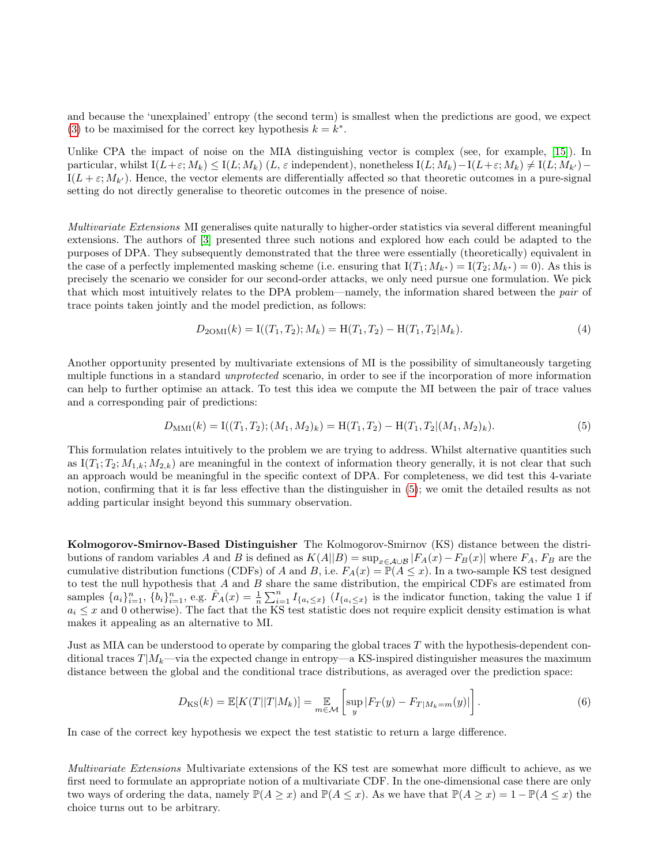and because the 'unexplained' entropy (the second term) is smallest when the predictions are good, we expect [\(3\)](#page-5-2) to be maximised for the correct key hypothesis  $k = k^*$ .

Unlike CPA the impact of noise on the MIA distinguishing vector is complex (see, for example, [\[15\]](#page-18-21)). In particular, whilst  $I(L+\varepsilon; M_k) \leq I(L; M_k)$  (L,  $\varepsilon$  independent), nonetheless  $I(L; M_k) - I(L+\varepsilon; M_k) \neq I(L; M_{k'}) - I(L+\varepsilon; M_k)$  $I(L + \varepsilon; M_{k'})$ . Hence, the vector elements are differentially affected so that theoretic outcomes in a pure-signal setting do not directly generalise to theoretic outcomes in the presence of noise.

Multivariate Extensions MI generalises quite naturally to higher-order statistics via several different meaningful extensions. The authors of [\[3\]](#page-18-1) presented three such notions and explored how each could be adapted to the purposes of DPA. They subsequently demonstrated that the three were essentially (theoretically) equivalent in the case of a perfectly implemented masking scheme (i.e. ensuring that  $I(T_1; M_{k^*}) = I(T_2; M_{k^*}) = 0$ ). As this is precisely the scenario we consider for our second-order attacks, we only need pursue one formulation. We pick that which most intuitively relates to the DPA problem—namely, the information shared between the pair of trace points taken jointly and the model prediction, as follows:

$$
D_{2OMI}(k) = I((T_1, T_2); M_k) = H(T_1, T_2) - H(T_1, T_2|M_k).
$$
\n(4)

Another opportunity presented by multivariate extensions of MI is the possibility of simultaneously targeting multiple functions in a standard unprotected scenario, in order to see if the incorporation of more information can help to further optimise an attack. To test this idea we compute the MI between the pair of trace values and a corresponding pair of predictions:

<span id="page-6-0"></span>
$$
D_{\text{MMI}}(k) = I((T_1, T_2); (M_1, M_2)_k) = H(T_1, T_2) - H(T_1, T_2 | (M_1, M_2)_k). \tag{5}
$$

This formulation relates intuitively to the problem we are trying to address. Whilst alternative quantities such as  $I(T_1; T_2; M_{1,k}; M_{2,k})$  are meaningful in the context of information theory generally, it is not clear that such an approach would be meaningful in the specific context of DPA. For completeness, we did test this 4-variate notion, confirming that it is far less effective than the distinguisher in [\(5\)](#page-6-0); we omit the detailed results as not adding particular insight beyond this summary observation.

Kolmogorov-Smirnov-Based Distinguisher The Kolmogorov-Smirnov (KS) distance between the distributions of random variables A and B is defined as  $K(A||B) = \sup_{x \in A \cup B} |F_A(x) - F_B(x)|$  where  $F_A$ ,  $F_B$  are the cumulative distribution functions (CDFs) of A and B, i.e.  $F_A(x) = \mathbb{P}(A \leq x)$ . In a two-sample KS test designed to test the null hypothesis that A and B share the same distribution, the empirical CDFs are estimated from samples  $\{a_i\}_{i=1}^n$ ,  $\{b_i\}_{i=1}^n$ , e.g.  $\hat{F}_A(x) = \frac{1}{n} \sum_{i=1}^n I_{\{a_i \leq x\}}(I_{\{a_i \leq x\}})$  is the indicator function, taking the value 1 if  $a_i \leq x$  and 0 otherwise). The fact that the KS test statistic does not require explicit density estimation is what makes it appealing as an alternative to MI.

Just as MIA can be understood to operate by comparing the global traces T with the hypothesis-dependent conditional traces  $T|M_k$ —via the expected change in entropy—a KS-inspired distinguisher measures the maximum distance between the global and the conditional trace distributions, as averaged over the prediction space:

$$
D_{\text{KS}}(k) = \mathbb{E}[K(T||T|M_k)] = \mathop{\mathbb{E}}_{m \in \mathcal{M}} \left[ \sup_y |F_T(y) - F_{T|M_k = m}(y)| \right]. \tag{6}
$$

In case of the correct key hypothesis we expect the test statistic to return a large difference.

Multivariate Extensions Multivariate extensions of the KS test are somewhat more difficult to achieve, as we first need to formulate an appropriate notion of a multivariate CDF. In the one-dimensional case there are only two ways of ordering the data, namely  $\mathbb{P}(A > x)$  and  $\mathbb{P}(A \leq x)$ . As we have that  $\mathbb{P}(A > x) = 1 - \mathbb{P}(A \leq x)$  the choice turns out to be arbitrary.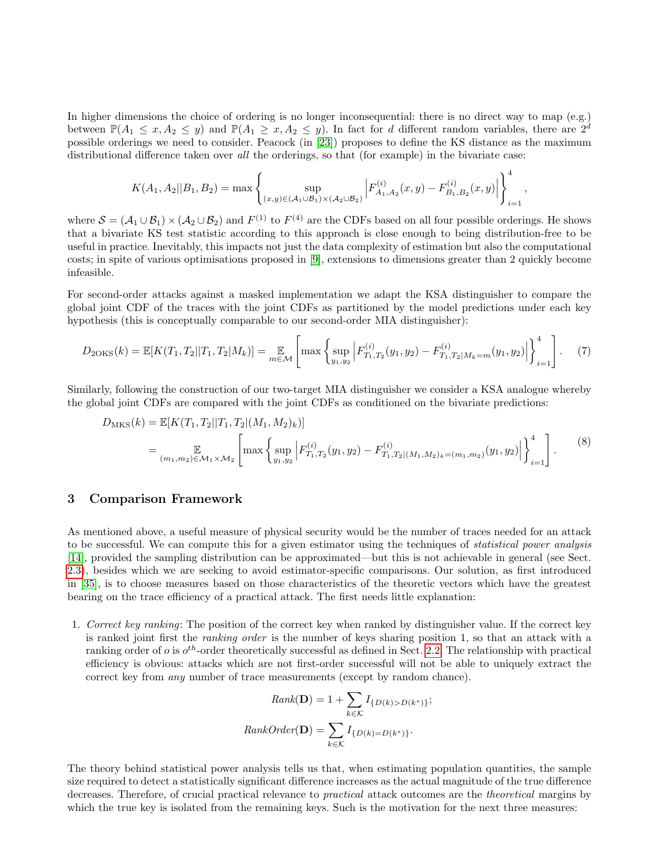In higher dimensions the choice of ordering is no longer inconsequential: there is no direct way to map (e.g.) between  $\mathbb{P}(A_1 \leq x, A_2 \leq y)$  and  $\mathbb{P}(A_1 \geq x, A_2 \leq y)$ . In fact for d different random variables, there are  $2^d$ possible orderings we need to consider. Peacock (in [\[23\]](#page-18-22)) proposes to define the KS distance as the maximum distributional difference taken over all the orderings, so that (for example) in the bivariate case:

$$
K(A_1, A_2||B_1, B_2) = \max \left\{ \sup_{(x,y)\in (A_1\cup B_1)\times (A_2\cup B_2)} \left| F_{A_1,A_2}^{(i)}(x,y) - F_{B_1,B_2}^{(i)}(x,y) \right| \right\}_{i=1}^4,
$$

where  $S = (A_1 \cup B_1) \times (A_2 \cup B_2)$  and  $F^{(1)}$  to  $F^{(4)}$  are the CDFs based on all four possible orderings. He shows that a bivariate KS test statistic according to this approach is close enough to being distribution-free to be useful in practice. Inevitably, this impacts not just the data complexity of estimation but also the computational costs; in spite of various optimisations proposed in [\[9\]](#page-18-23), extensions to dimensions greater than 2 quickly become infeasible.

For second-order attacks against a masked implementation we adapt the KSA distinguisher to compare the global joint CDF of the traces with the joint CDFs as partitioned by the model predictions under each key hypothesis (this is conceptually comparable to our second-order MIA distinguisher):

$$
D_{20\text{KS}}(k) = \mathbb{E}[K(T_1, T_2||T_1, T_2|M_k)] = \mathop{\mathbb{E}}_{m \in \mathcal{M}} \left[ \max \left\{ \sup_{y_1, y_2} \left| F_{T_1, T_2}^{(i)}(y_1, y_2) - F_{T_1, T_2|M_k = m}^{(i)}(y_1, y_2) \right| \right\}_{i=1}^4 \right].
$$
 (7)

Similarly, following the construction of our two-target MIA distinguisher we consider a KSA analogue whereby the global joint CDFs are compared with the joint CDFs as conditioned on the bivariate predictions:

$$
D_{\text{MKS}}(k) = \mathbb{E}[K(T_1, T_2||T_1, T_2|(M_1, M_2)_{k})]
$$
  
= 
$$
\mathbb{E}_{(m_1, m_2) \in \mathcal{M}_1 \times \mathcal{M}_2} \left[ \max \left\{ \sup_{y_1, y_2} \left| F_{T_1, T_2}^{(i)}(y_1, y_2) - F_{T_1, T_2|(M_1, M_2)_{k} = (m_1, m_2)}^{(i)}(y_1, y_2) \right| \right\}_{i=1}^4 \right].
$$
 (8)

## <span id="page-7-0"></span>3 Comparison Framework

As mentioned above, a useful measure of physical security would be the number of traces needed for an attack to be successful. We can compute this for a given estimator using the techniques of statistical power analysis [\[14\]](#page-18-13), provided the sampling distribution can be approximated—but this is not achievable in general (see Sect. [2.3\)](#page-4-0), besides which we are seeking to avoid estimator-specific comparisons. Our solution, as first introduced in [\[35\]](#page-19-1), is to choose measures based on those characteristics of the theoretic vectors which have the greatest bearing on the trace efficiency of a practical attack. The first needs little explanation:

1. Correct key ranking: The position of the correct key when ranked by distinguisher value. If the correct key is ranked joint first the *ranking order* is the number of keys sharing position 1, so that an attack with a ranking order of  $o$  is  $o^{th}$ -order theoretically successful as defined in Sect. [2.2.](#page-2-1) The relationship with practical efficiency is obvious: attacks which are not first-order successful will not be able to uniquely extract the correct key from any number of trace measurements (except by random chance).

$$
Rank(\mathbf{D}) = 1 + \sum_{k \in \mathcal{K}} I_{\{D(k) > D(k^*)\}};
$$
\n
$$
RankOrder(\mathbf{D}) = \sum_{k \in \mathcal{K}} I_{\{D(k) = D(k^*)\}}.
$$

The theory behind statistical power analysis tells us that, when estimating population quantities, the sample size required to detect a statistically significant difference increases as the actual magnitude of the true difference decreases. Therefore, of crucial practical relevance to practical attack outcomes are the theoretical margins by which the true key is isolated from the remaining keys. Such is the motivation for the next three measures: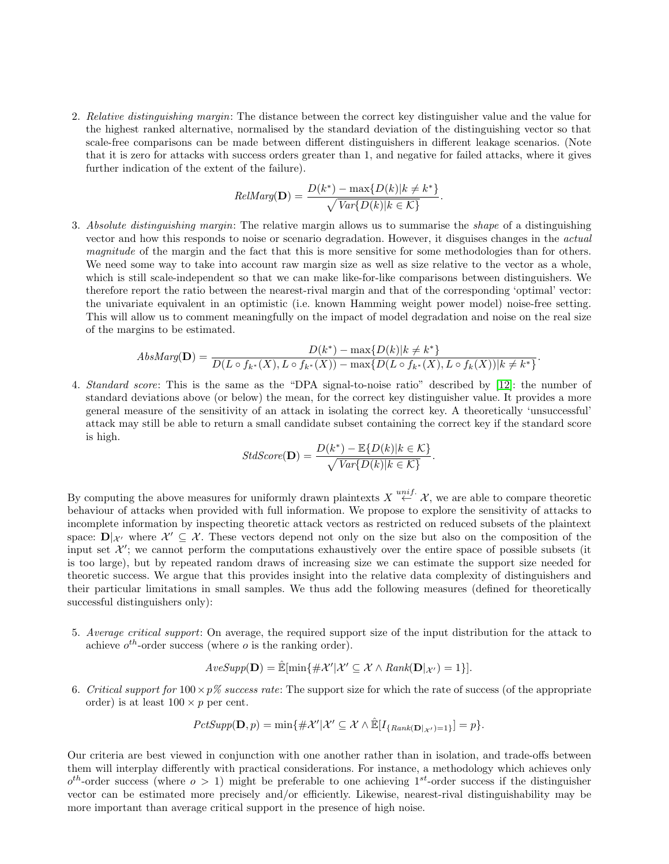2. Relative distinguishing margin: The distance between the correct key distinguisher value and the value for the highest ranked alternative, normalised by the standard deviation of the distinguishing vector so that scale-free comparisons can be made between different distinguishers in different leakage scenarios. (Note that it is zero for attacks with success orders greater than 1, and negative for failed attacks, where it gives further indication of the extent of the failure).

$$
RelMarg(\mathbf{D}) = \frac{D(k^*) - \max\{D(k)|k \neq k^*\}}{\sqrt{Var\{D(k)|k \in \mathcal{K}\}}}.
$$

3. Absolute distinguishing margin: The relative margin allows us to summarise the shape of a distinguishing vector and how this responds to noise or scenario degradation. However, it disguises changes in the actual magnitude of the margin and the fact that this is more sensitive for some methodologies than for others. We need some way to take into account raw margin size as well as size relative to the vector as a whole, which is still scale-independent so that we can make like-for-like comparisons between distinguishers. We therefore report the ratio between the nearest-rival margin and that of the corresponding 'optimal' vector: the univariate equivalent in an optimistic (i.e. known Hamming weight power model) noise-free setting. This will allow us to comment meaningfully on the impact of model degradation and noise on the real size of the margins to be estimated.

$$
AbsMarg(\mathbf{D}) = \frac{D(k^*) - \max\{D(k)|k \neq k^*\}}{D(L \circ f_{k^*}(X), L \circ f_{k^*}(X)) - \max\{D(L \circ f_{k^*}(X), L \circ f_k(X))|k \neq k^*\}}.
$$

4. Standard score: This is the same as the "DPA signal-to-noise ratio" described by [\[12\]](#page-18-7): the number of standard deviations above (or below) the mean, for the correct key distinguisher value. It provides a more general measure of the sensitivity of an attack in isolating the correct key. A theoretically 'unsuccessful' attack may still be able to return a small candidate subset containing the correct key if the standard score is high.

$$
StdScore(\mathbf{D}) = \frac{D(k^*) - \mathbb{E}\{D(k)|k \in \mathcal{K}\}}{\sqrt{Var\{D(k)|k \in \mathcal{K}\}}}.
$$

By computing the above measures for uniformly drawn plaintexts  $X \stackrel{unif.}{\leftarrow} \mathcal{X}$ , we are able to compare theoretic behaviour of attacks when provided with full information. We propose to explore the sensitivity of attacks to incomplete information by inspecting theoretic attack vectors as restricted on reduced subsets of the plaintext space:  $D|_{\mathcal{X}}$  where  $\mathcal{X}' \subseteq \mathcal{X}$ . These vectors depend not only on the size but also on the composition of the input set  $\mathcal{X}'$ ; we cannot perform the computations exhaustively over the entire space of possible subsets (it is too large), but by repeated random draws of increasing size we can estimate the support size needed for theoretic success. We argue that this provides insight into the relative data complexity of distinguishers and their particular limitations in small samples. We thus add the following measures (defined for theoretically successful distinguishers only):

5. Average critical support: On average, the required support size of the input distribution for the attack to achieve  $o^{th}$ -order success (where  $o$  is the ranking order).

$$
AveSupp(\mathbf{D}) = \mathbb{\hat{E}}[\min\{\#\mathcal{X}'|\mathcal{X}' \subseteq \mathcal{X} \land Rank(\mathbf{D}|\mathcal{X}) = 1\}].
$$

6. Critical support for  $100 \times p\%$  success rate: The support size for which the rate of success (of the appropriate order) is at least  $100 \times p$  per cent.

$$
PctSupp(\mathbf{D},p)=\min\{\#\mathcal{X}'|\mathcal{X}'\subseteq \mathcal{X}\wedge \mathbb{\hat{E}}[I_{\{Rank(\mathbf{D}|_{\mathcal{X}'})=1\}}]=p\}.
$$

Our criteria are best viewed in conjunction with one another rather than in isolation, and trade-offs between them will interplay differently with practical considerations. For instance, a methodology which achieves only  $o^{th}$ -order success (where  $o > 1$ ) might be preferable to one achieving  $1^{st}$ -order success if the distinguisher vector can be estimated more precisely and/or efficiently. Likewise, nearest-rival distinguishability may be more important than average critical support in the presence of high noise.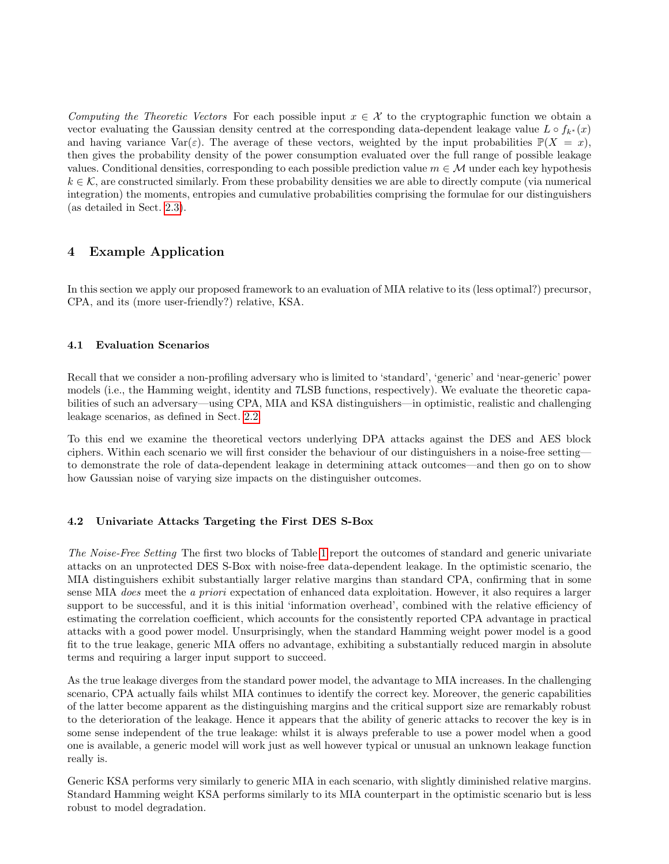Computing the Theoretic Vectors For each possible input  $x \in \mathcal{X}$  to the cryptographic function we obtain a vector evaluating the Gaussian density centred at the corresponding data-dependent leakage value  $L \circ f_{k^*}(x)$ and having variance  $\text{Var}(\varepsilon)$ . The average of these vectors, weighted by the input probabilities  $\mathbb{P}(X = x)$ , then gives the probability density of the power consumption evaluated over the full range of possible leakage values. Conditional densities, corresponding to each possible prediction value  $m \in \mathcal{M}$  under each key hypothesis  $k \in \mathcal{K}$ , are constructed similarly. From these probability densities we are able to directly compute (via numerical integration) the moments, entropies and cumulative probabilities comprising the formulae for our distinguishers (as detailed in Sect. [2.3\)](#page-4-0).

# <span id="page-9-0"></span>4 Example Application

In this section we apply our proposed framework to an evaluation of MIA relative to its (less optimal?) precursor, CPA, and its (more user-friendly?) relative, KSA.

#### 4.1 Evaluation Scenarios

Recall that we consider a non-profiling adversary who is limited to 'standard', 'generic' and 'near-generic' power models (i.e., the Hamming weight, identity and 7LSB functions, respectively). We evaluate the theoretic capabilities of such an adversary—using CPA, MIA and KSA distinguishers—in optimistic, realistic and challenging leakage scenarios, as defined in Sect. [2.2.](#page-3-2)

To this end we examine the theoretical vectors underlying DPA attacks against the DES and AES block ciphers. Within each scenario we will first consider the behaviour of our distinguishers in a noise-free setting to demonstrate the role of data-dependent leakage in determining attack outcomes—and then go on to show how Gaussian noise of varying size impacts on the distinguisher outcomes.

#### 4.2 Univariate Attacks Targeting the First DES S-Box

The Noise-Free Setting The first two blocks of Table [1](#page-16-0) report the outcomes of standard and generic univariate attacks on an unprotected DES S-Box with noise-free data-dependent leakage. In the optimistic scenario, the MIA distinguishers exhibit substantially larger relative margins than standard CPA, confirming that in some sense MIA does meet the a priori expectation of enhanced data exploitation. However, it also requires a larger support to be successful, and it is this initial 'information overhead', combined with the relative efficiency of estimating the correlation coefficient, which accounts for the consistently reported CPA advantage in practical attacks with a good power model. Unsurprisingly, when the standard Hamming weight power model is a good fit to the true leakage, generic MIA offers no advantage, exhibiting a substantially reduced margin in absolute terms and requiring a larger input support to succeed.

As the true leakage diverges from the standard power model, the advantage to MIA increases. In the challenging scenario, CPA actually fails whilst MIA continues to identify the correct key. Moreover, the generic capabilities of the latter become apparent as the distinguishing margins and the critical support size are remarkably robust to the deterioration of the leakage. Hence it appears that the ability of generic attacks to recover the key is in some sense independent of the true leakage: whilst it is always preferable to use a power model when a good one is available, a generic model will work just as well however typical or unusual an unknown leakage function really is.

Generic KSA performs very similarly to generic MIA in each scenario, with slightly diminished relative margins. Standard Hamming weight KSA performs similarly to its MIA counterpart in the optimistic scenario but is less robust to model degradation.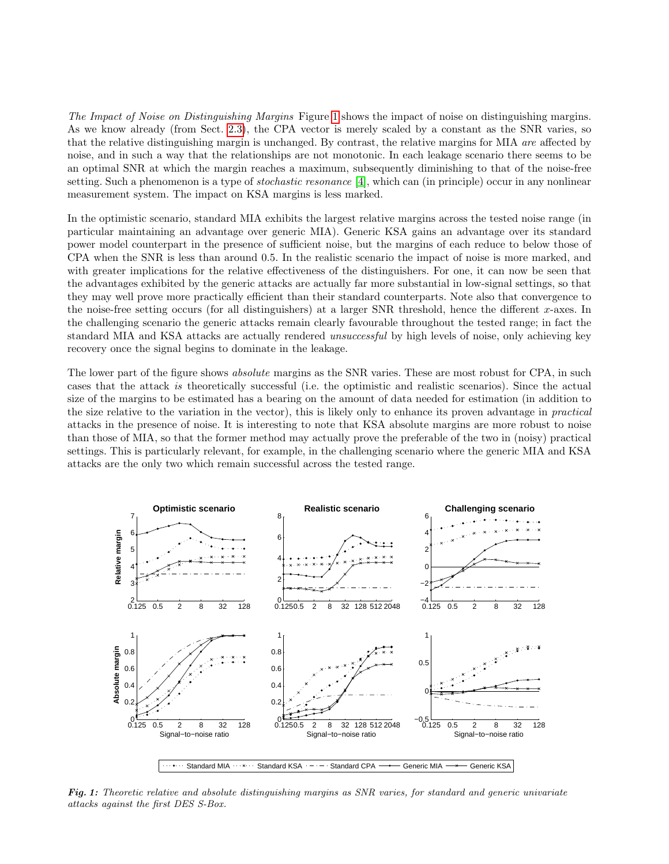The Impact of Noise on Distinguishing Margins Figure [1](#page-10-0) shows the impact of noise on distinguishing margins. As we know already (from Sect. [2.3\)](#page-4-1), the CPA vector is merely scaled by a constant as the SNR varies, so that the relative distinguishing margin is unchanged. By contrast, the relative margins for MIA are affected by noise, and in such a way that the relationships are not monotonic. In each leakage scenario there seems to be an optimal SNR at which the margin reaches a maximum, subsequently diminishing to that of the noise-free setting. Such a phenomenon is a type of *stochastic resonance* [\[4\]](#page-18-24), which can (in principle) occur in any nonlinear measurement system. The impact on KSA margins is less marked.

In the optimistic scenario, standard MIA exhibits the largest relative margins across the tested noise range (in particular maintaining an advantage over generic MIA). Generic KSA gains an advantage over its standard power model counterpart in the presence of sufficient noise, but the margins of each reduce to below those of CPA when the SNR is less than around 0.5. In the realistic scenario the impact of noise is more marked, and with greater implications for the relative effectiveness of the distinguishers. For one, it can now be seen that the advantages exhibited by the generic attacks are actually far more substantial in low-signal settings, so that they may well prove more practically efficient than their standard counterparts. Note also that convergence to the noise-free setting occurs (for all distinguishers) at a larger SNR threshold, hence the different x-axes. In the challenging scenario the generic attacks remain clearly favourable throughout the tested range; in fact the standard MIA and KSA attacks are actually rendered unsuccessful by high levels of noise, only achieving key recovery once the signal begins to dominate in the leakage.

The lower part of the figure shows *absolute* margins as the SNR varies. These are most robust for CPA, in such cases that the attack is theoretically successful (i.e. the optimistic and realistic scenarios). Since the actual size of the margins to be estimated has a bearing on the amount of data needed for estimation (in addition to the size relative to the variation in the vector), this is likely only to enhance its proven advantage in practical attacks in the presence of noise. It is interesting to note that KSA absolute margins are more robust to noise than those of MIA, so that the former method may actually prove the preferable of the two in (noisy) practical settings. This is particularly relevant, for example, in the challenging scenario where the generic MIA and KSA attacks are the only two which remain successful across the tested range.

<span id="page-10-0"></span>

Fig. 1: Theoretic relative and absolute distinguishing margins as SNR varies, for standard and generic univariate attacks against the first DES S-Box.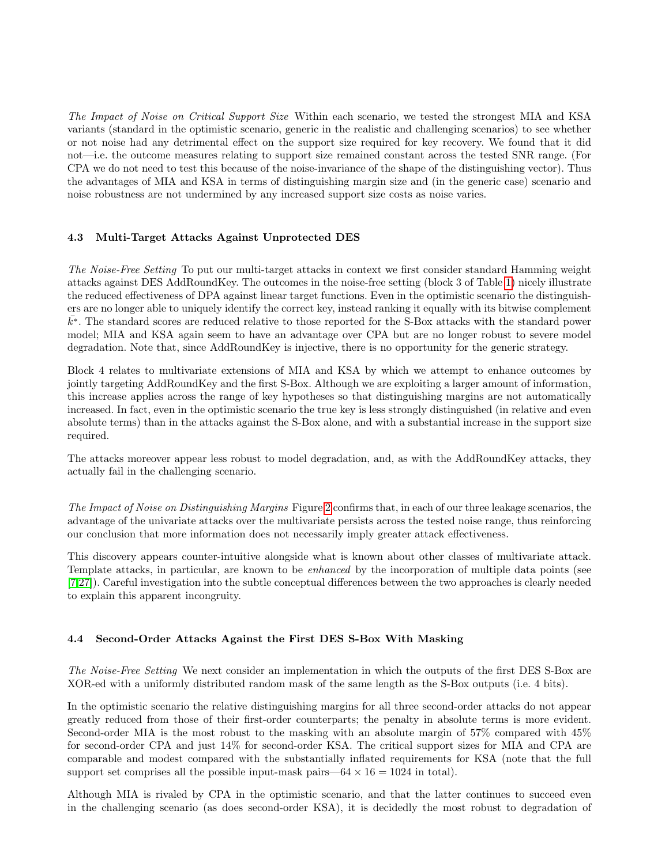The Impact of Noise on Critical Support Size Within each scenario, we tested the strongest MIA and KSA variants (standard in the optimistic scenario, generic in the realistic and challenging scenarios) to see whether or not noise had any detrimental effect on the support size required for key recovery. We found that it did not—i.e. the outcome measures relating to support size remained constant across the tested SNR range. (For CPA we do not need to test this because of the noise-invariance of the shape of the distinguishing vector). Thus the advantages of MIA and KSA in terms of distinguishing margin size and (in the generic case) scenario and noise robustness are not undermined by any increased support size costs as noise varies.

### 4.3 Multi-Target Attacks Against Unprotected DES

The Noise-Free Setting To put our multi-target attacks in context we first consider standard Hamming weight attacks against DES AddRoundKey. The outcomes in the noise-free setting (block 3 of Table [1\)](#page-16-0) nicely illustrate the reduced effectiveness of DPA against linear target functions. Even in the optimistic scenario the distinguishers are no longer able to uniquely identify the correct key, instead ranking it equally with its bitwise complement  $\bar{k^*}$ . The standard scores are reduced relative to those reported for the S-Box attacks with the standard power model; MIA and KSA again seem to have an advantage over CPA but are no longer robust to severe model degradation. Note that, since AddRoundKey is injective, there is no opportunity for the generic strategy.

Block 4 relates to multivariate extensions of MIA and KSA by which we attempt to enhance outcomes by jointly targeting AddRoundKey and the first S-Box. Although we are exploiting a larger amount of information, this increase applies across the range of key hypotheses so that distinguishing margins are not automatically increased. In fact, even in the optimistic scenario the true key is less strongly distinguished (in relative and even absolute terms) than in the attacks against the S-Box alone, and with a substantial increase in the support size required.

The attacks moreover appear less robust to model degradation, and, as with the AddRoundKey attacks, they actually fail in the challenging scenario.

The Impact of Noise on Distinguishing Margins Figure [2](#page-12-0) confirms that, in each of our three leakage scenarios, the advantage of the univariate attacks over the multivariate persists across the tested noise range, thus reinforcing our conclusion that more information does not necessarily imply greater attack effectiveness.

This discovery appears counter-intuitive alongside what is known about other classes of multivariate attack. Template attacks, in particular, are known to be enhanced by the incorporation of multiple data points (see [\[7](#page-18-25)[,27\]](#page-18-26)). Careful investigation into the subtle conceptual differences between the two approaches is clearly needed to explain this apparent incongruity.

#### 4.4 Second-Order Attacks Against the First DES S-Box With Masking

The Noise-Free Setting We next consider an implementation in which the outputs of the first DES S-Box are XOR-ed with a uniformly distributed random mask of the same length as the S-Box outputs (i.e. 4 bits).

In the optimistic scenario the relative distinguishing margins for all three second-order attacks do not appear greatly reduced from those of their first-order counterparts; the penalty in absolute terms is more evident. Second-order MIA is the most robust to the masking with an absolute margin of 57% compared with 45% for second-order CPA and just 14% for second-order KSA. The critical support sizes for MIA and CPA are comparable and modest compared with the substantially inflated requirements for KSA (note that the full support set comprises all the possible input-mask pairs— $64 \times 16 = 1024$  in total).

Although MIA is rivaled by CPA in the optimistic scenario, and that the latter continues to succeed even in the challenging scenario (as does second-order KSA), it is decidedly the most robust to degradation of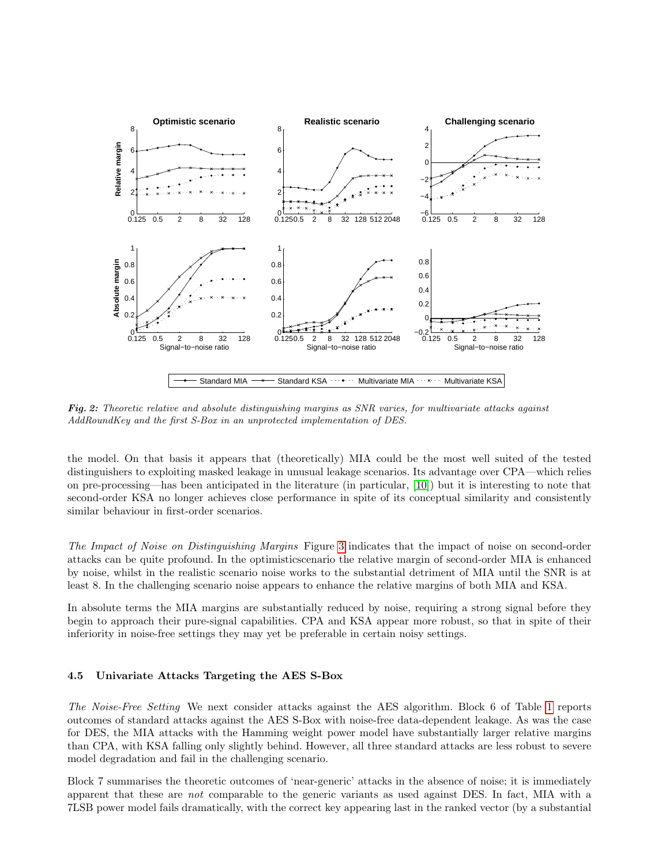<span id="page-12-0"></span>

Fig. 2: Theoretic relative and absolute distinguishing margins as SNR varies, for multivariate attacks against AddRoundKey and the first S-Box in an unprotected implementation of DES.

the model. On that basis it appears that (theoretically) MIA could be the most well suited of the tested distinguishers to exploiting masked leakage in unusual leakage scenarios. Its advantage over CPA—which relies on pre-processing—has been anticipated in the literature (in particular, [\[10\]](#page-18-27)) but it is interesting to note that second-order KSA no longer achieves close performance in spite of its conceptual similarity and consistently similar behaviour in first-order scenarios.

The Impact of Noise on Distinguishing Margins Figure [3](#page-13-0) indicates that the impact of noise on second-order attacks can be quite profound. In the optimisticscenario the relative margin of second-order MIA is enhanced by noise, whilst in the realistic scenario noise works to the substantial detriment of MIA until the SNR is at least 8. In the challenging scenario noise appears to enhance the relative margins of both MIA and KSA.

In absolute terms the MIA margins are substantially reduced by noise, requiring a strong signal before they begin to approach their pure-signal capabilities. CPA and KSA appear more robust, so that in spite of their inferiority in noise-free settings they may yet be preferable in certain noisy settings.

#### 4.5 Univariate Attacks Targeting the AES S-Box

The Noise-Free Setting We next consider attacks against the AES algorithm. Block 6 of Table [1](#page-16-0) reports outcomes of standard attacks against the AES S-Box with noise-free data-dependent leakage. As was the case for DES, the MIA attacks with the Hamming weight power model have substantially larger relative margins than CPA, with KSA falling only slightly behind. However, all three standard attacks are less robust to severe model degradation and fail in the challenging scenario.

Block 7 summarises the theoretic outcomes of 'near-generic' attacks in the absence of noise; it is immediately apparent that these are not comparable to the generic variants as used against DES. In fact, MIA with a 7LSB power model fails dramatically, with the correct key appearing last in the ranked vector (by a substantial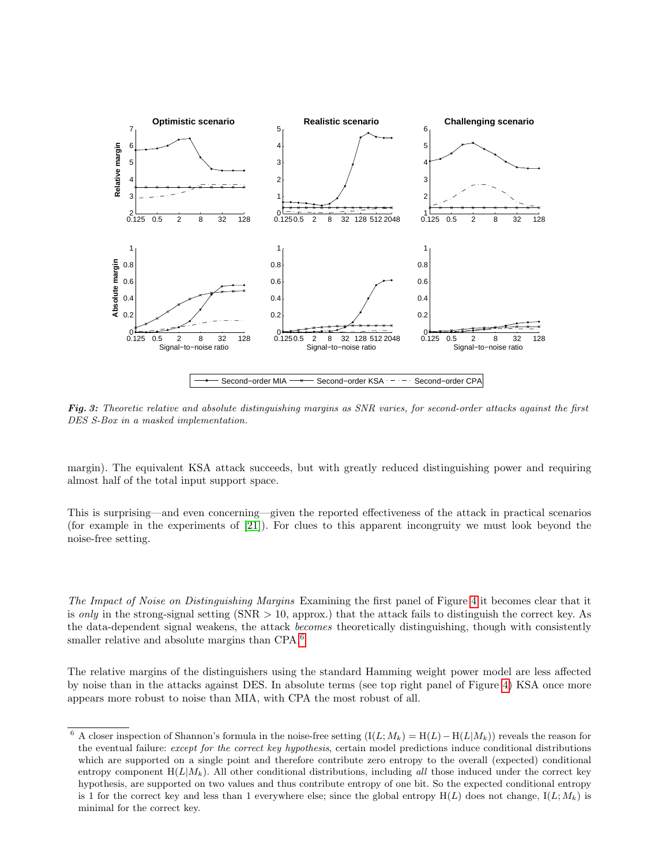<span id="page-13-0"></span>

Fig. 3: Theoretic relative and absolute distinguishing margins as SNR varies, for second-order attacks against the first DES S-Box in a masked implementation.

margin). The equivalent KSA attack succeeds, but with greatly reduced distinguishing power and requiring almost half of the total input support space.

This is surprising—and even concerning—given the reported effectiveness of the attack in practical scenarios (for example in the experiments of [\[21\]](#page-18-2)). For clues to this apparent incongruity we must look beyond the noise-free setting.

The Impact of Noise on Distinguishing Margins Examining the first panel of Figure [4](#page-14-0) it becomes clear that it is only in the strong-signal setting  $(SNR > 10$ , approx.) that the attack fails to distinguish the correct key. As the data-dependent signal weakens, the attack becomes theoretically distinguishing, though with consistently smaller relative and absolute margins than CPA.<sup>[6](#page-13-1)</sup>

The relative margins of the distinguishers using the standard Hamming weight power model are less affected by noise than in the attacks against DES. In absolute terms (see top right panel of Figure [4\)](#page-14-0) KSA once more appears more robust to noise than MIA, with CPA the most robust of all.

<span id="page-13-1"></span><sup>&</sup>lt;sup>6</sup> A closer inspection of Shannon's formula in the noise-free setting  $(I(L; M_k) = H(L) - H(L|M_k))$  reveals the reason for the eventual failure: except for the correct key hypothesis, certain model predictions induce conditional distributions which are supported on a single point and therefore contribute zero entropy to the overall (expected) conditional entropy component  $H(L|M_k)$ . All other conditional distributions, including all those induced under the correct key hypothesis, are supported on two values and thus contribute entropy of one bit. So the expected conditional entropy is 1 for the correct key and less than 1 everywhere else; since the global entropy  $H(L)$  does not change,  $I(L; M_k)$  is minimal for the correct key.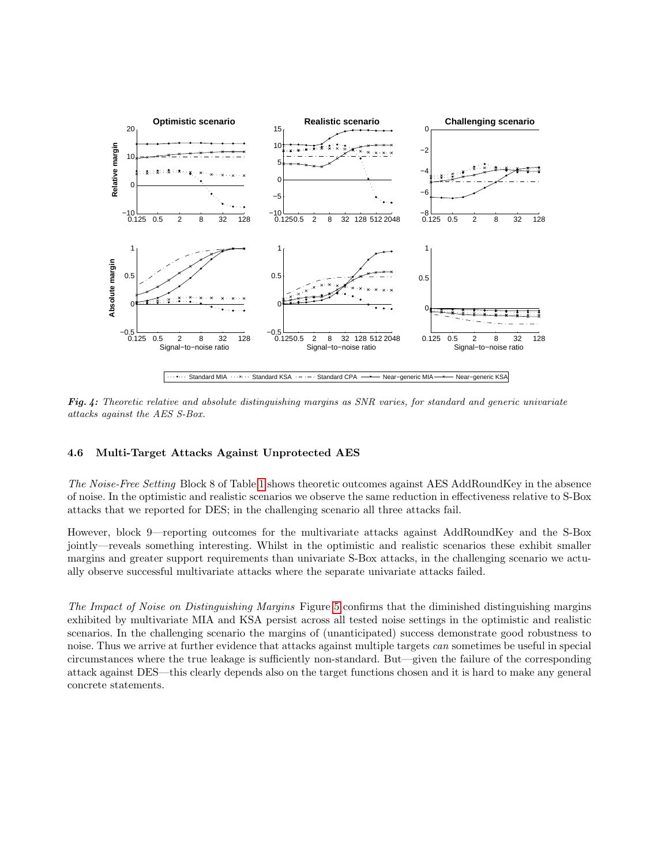<span id="page-14-0"></span>

Fig. 4: Theoretic relative and absolute distinguishing margins as SNR varies, for standard and generic univariate attacks against the AES S-Box.

#### 4.6 Multi-Target Attacks Against Unprotected AES

The Noise-Free Setting Block 8 of Table [1](#page-16-0) shows theoretic outcomes against AES AddRoundKey in the absence of noise. In the optimistic and realistic scenarios we observe the same reduction in effectiveness relative to S-Box attacks that we reported for DES; in the challenging scenario all three attacks fail.

However, block 9—reporting outcomes for the multivariate attacks against AddRoundKey and the S-Box jointly—reveals something interesting. Whilst in the optimistic and realistic scenarios these exhibit smaller margins and greater support requirements than univariate S-Box attacks, in the challenging scenario we actually observe successful multivariate attacks where the separate univariate attacks failed.

The Impact of Noise on Distinguishing Margins Figure [5](#page-15-0) confirms that the diminished distinguishing margins exhibited by multivariate MIA and KSA persist across all tested noise settings in the optimistic and realistic scenarios. In the challenging scenario the margins of (unanticipated) success demonstrate good robustness to noise. Thus we arrive at further evidence that attacks against multiple targets can sometimes be useful in special circumstances where the true leakage is sufficiently non-standard. But—given the failure of the corresponding attack against DES—this clearly depends also on the target functions chosen and it is hard to make any general concrete statements.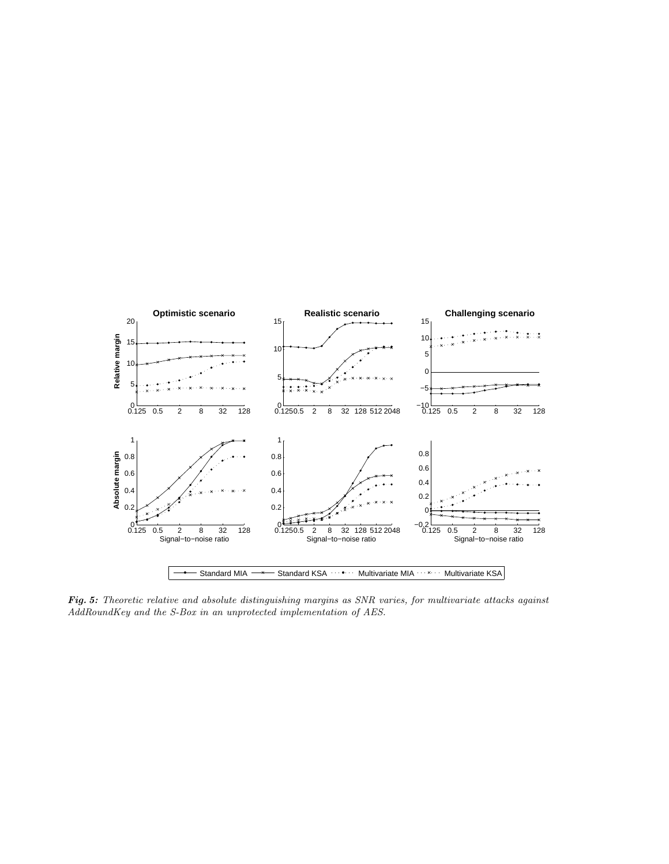<span id="page-15-0"></span>

Fig. 5: Theoretic relative and absolute distinguishing margins as SNR varies, for multivariate attacks against AddRoundKey and the S-Box in an unprotected implementation of AES.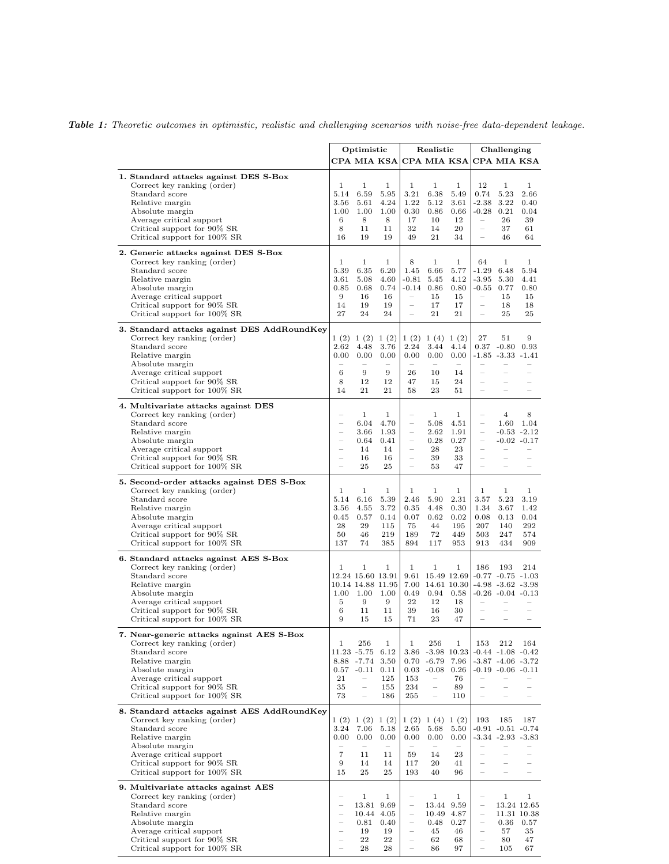<span id="page-16-0"></span>Table 1: Theoretic outcomes in optimistic, realistic and challenging scenarios with noise-free data-dependent leakage.

|                                                                                                                                                                                                                               | Optimistic                                                                                                   |                                                                                                          |                                                                    | Realistic<br>CPA MIA KSA CPA MIA KSA                                                                                                                       |                                                                                                               |                                                                    | Challenging<br>CPA MIA KSA                                                                                                                                 |                                                                                                                                          |                                                                          |
|-------------------------------------------------------------------------------------------------------------------------------------------------------------------------------------------------------------------------------|--------------------------------------------------------------------------------------------------------------|----------------------------------------------------------------------------------------------------------|--------------------------------------------------------------------|------------------------------------------------------------------------------------------------------------------------------------------------------------|---------------------------------------------------------------------------------------------------------------|--------------------------------------------------------------------|------------------------------------------------------------------------------------------------------------------------------------------------------------|------------------------------------------------------------------------------------------------------------------------------------------|--------------------------------------------------------------------------|
|                                                                                                                                                                                                                               |                                                                                                              |                                                                                                          |                                                                    |                                                                                                                                                            |                                                                                                               |                                                                    |                                                                                                                                                            |                                                                                                                                          |                                                                          |
| 1. Standard attacks against DES S-Box<br>Correct key ranking (order)<br>Standard score<br>Relative margin<br>Absolute margin<br>Average critical support<br>Critical support for 90% SR<br>Critical support for 100% SR       | $\mathbf{1}$<br>5.14<br>3.56<br>1.00<br>6<br>8<br>16                                                         | $\mathbf{1}$<br>6.59<br>5.61<br>1.00<br>8<br>11<br>19                                                    | $\mathbf{1}$<br>5.95<br>4.24<br>1.00<br>8<br>11<br>19              | $\mathbf{1}$<br>3.21<br>1.22<br>0.30<br>17<br>32<br>49                                                                                                     | $\mathbf{1}$<br>6.38<br>5.12<br>0.86<br>10<br>14<br>21                                                        | $\mathbf{1}$<br>5.49<br>3.61<br>0.66<br>12<br>20<br>34             | 12<br>0.74<br>$-2.38$<br>$\overline{\phantom{a}}$<br>$\overline{\phantom{0}}$<br>$\overline{\phantom{0}}$                                                  | $\mathbf{1}$<br>5.23<br>3.22<br>$-0.28$ 0.21<br>26<br>37<br>46                                                                           | $\mathbf{1}$<br>2.66<br>0.40<br>0.04<br>39<br>61<br>64                   |
| 2. Generic attacks against DES S-Box<br>Correct key ranking (order)<br>Standard score<br>Relative margin<br>Absolute margin<br>Average critical support<br>Critical support for 90% SR<br>Critical support for 100% SR        | $\mathbf{1}$<br>5.39<br>3.61<br>0.85<br>9<br>14<br>27                                                        | $\mathbf{1}$<br>6.35<br>5.08<br>0.68<br>16<br>19<br>24                                                   | $\mathbf{1}$<br>6.20<br>4.60<br>0.74<br>16<br>19<br>24             | 8<br>1.45<br>$-0.81$<br>$-0.14$<br>$\overline{\phantom{0}}$<br>$\qquad \qquad -$<br>$\overline{\phantom{0}}$                                               | 1<br>6.66<br>5.45<br>0.86<br>15<br>17<br>21                                                                   | $\mathbf{1}$<br>5.77<br>4.12<br>0.80<br>15<br>17<br>21             | 64<br>$-1.29$<br>$-3.95$<br>$-0.55$<br>$\overline{\phantom{0}}$<br>$\qquad \qquad -$<br>$\overline{\phantom{0}}$                                           | 1<br>6.48<br>5.30<br>0.77<br>15<br>18<br>25                                                                                              | 1<br>5.94<br>4.41<br>0.80<br>15<br>18<br>25                              |
| 3. Standard attacks against DES AddRoundKey<br>Correct key ranking (order)<br>Standard score<br>Relative margin<br>Absolute margin<br>Average critical support                                                                | 1(2)<br>2.62<br>0.00<br>6                                                                                    | 1(2)<br>4.48<br>0.00<br>9                                                                                | 1(2)<br>3.76<br>0.00<br>$\overline{\phantom{a}}$<br>9              | 1(2)<br>2.24<br>0.00<br>$\overline{\phantom{a}}$<br>26                                                                                                     | 1(4)<br>3.44<br>0.00<br>$\overline{\phantom{m}}$<br>10                                                        | 1(2)<br>4.14<br>0.00<br>$\overline{\phantom{a}}$<br>14             | 27<br>$\overline{\phantom{0}}$                                                                                                                             | 51<br>$0.37 - 0.80$<br>$-1.85 -3.33 -1.41$<br>$\overline{\phantom{a}}$                                                                   | 9<br>0.93<br>$\overline{\phantom{0}}$                                    |
| Critical support for 90% SR<br>Critical support for 100% SR                                                                                                                                                                   | 8<br>14                                                                                                      | 12<br>21                                                                                                 | 12<br>21                                                           | 47<br>58                                                                                                                                                   | 15<br>23                                                                                                      | 24<br>51                                                           | $\sim$<br>÷                                                                                                                                                |                                                                                                                                          |                                                                          |
| 4. Multivariate attacks against DES<br>Correct key ranking (order)<br>Standard score<br>Relative margin<br>Absolute margin<br>Average critical support<br>Critical support for 90% SR<br>Critical support for 100% SR         | $\overline{\phantom{0}}$<br>$\overline{\phantom{0}}$<br>$\overline{\phantom{0}}$<br>$\overline{\phantom{a}}$ | $\mathbf{1}$<br>6.04<br>3.66<br>0.64<br>14<br>16<br>25                                                   | $\mathbf{1}$<br>4.70<br>1.93<br>0.41<br>14<br>16<br>25             | $\qquad \qquad -$<br>$\overline{\phantom{0}}$<br>$\equiv$<br>$\overline{\phantom{0}}$<br>$\qquad \qquad -$<br>$\overline{\phantom{0}}$                     | $\mathbf{1}$<br>5.08<br>2.62<br>0.28<br>28<br>39<br>53                                                        | $\mathbf{1}$<br>4.51<br>1.91<br>0.27<br>23<br>33<br>47             | $\overline{\phantom{0}}$<br>$\overline{\phantom{0}}$<br>$\overline{\phantom{0}}$<br>$\equiv$<br>$\overline{\phantom{0}}$                                   | $\,4\,$<br>1.60<br>$\overline{\phantom{a}}$<br>$\overline{\phantom{a}}$                                                                  | 8<br>1.04<br>$-0.53 - 2.12$<br>$-0.02 -0.17$<br>$\overline{\phantom{a}}$ |
| 5. Second-order attacks against DES S-Box<br>Correct key ranking (order)<br>Standard score<br>Relative margin<br>Absolute margin<br>Average critical support<br>Critical support for 90% SR<br>Critical support for 100% SR   | $\mathbf{1}$<br>5.14<br>3.56<br>0.45<br>28<br>50<br>137                                                      | $\mathbf{1}$<br>6.16<br>4.55<br>0.57<br>29<br>46<br>74                                                   | $\mathbf{1}$<br>5.39<br>3.72<br>0.14<br>115<br>219<br>385          | 1<br>2.46<br>0.35<br>0.07<br>75<br>189<br>894                                                                                                              | $\mathbf{1}$<br>5.90<br>4.48<br>0.62<br>44<br>72<br>117                                                       | $\mathbf{1}$<br>2.31<br>0.30<br>0.02<br>195<br>449<br>953          | $\mathbf{1}$<br>3.57<br>1.34<br>0.08<br>207<br>503<br>913                                                                                                  | 1<br>5.23<br>3.67<br>0.13<br>140<br>247<br>434                                                                                           | 1<br>3.19<br>1.42<br>0.04<br>292<br>574<br>909                           |
| 6. Standard attacks against AES S-Box<br>Correct key ranking (order)<br>Standard score<br>Relative margin<br>Absolute margin<br>Average critical support<br>Critical support for 90% SR<br>Critical support for 100% SR       | $\mathbf{1}$<br>1.00<br>5<br>6<br>9                                                                          | $\mathbf{1}$<br>12.24 15.60 13.91<br>10.14 14.88 11.95<br>1.00<br>9<br>11<br>15                          | $\mathbf{1}$<br>1.00<br>9<br>11<br>15                              | $\mathbf{1}$<br>0.49<br>22<br>39<br>71                                                                                                                     | 1<br>9.61 15.49 12.69<br>0.94<br>12<br>16<br>23                                                               | 1<br>7.00 14.61 10.30<br>0.58<br>18<br>30<br>47                    | 186<br>$\overline{\phantom{a}}$                                                                                                                            | 193<br>$-0.77 -0.75 -1.03$<br>$-4.98$ $-3.62$ $-3.98$<br>$-0.26$ $-0.04$ $-0.13$                                                         | 214                                                                      |
| 7. Near-generic attacks against AES S-Box<br>Correct key ranking (order)<br>Standard score<br>Relative margin<br>Absolute margin<br>Average critical support<br>Critical support for 90% SR<br>Critical support for 100% SR   | $\mathbf{1}$<br>8.88<br>0.57<br>21<br>$35\,$<br>73                                                           | 256<br>11.23 -5.75<br>$-7.74$<br>$-0.11$<br>$\overline{\phantom{a}}$<br>$\overline{a}$<br>$\overline{a}$ | $\mathbf{1}$<br>6.12<br>3.50<br>0.11<br>125<br>155<br>186          | $\mathbf 1$<br>3.86<br>0.70<br>0.03<br>153<br>234<br>255                                                                                                   | 256<br>$-6.79$<br>$-0.08$<br>$\overline{\phantom{0}}$<br>$\overline{\phantom{0}}$<br>$\overline{\phantom{0}}$ | $\mathbf{1}$<br>$-3.98$ 10.23<br>7.96<br>0.26<br>76<br>89<br>110   | 153<br>$\overline{\phantom{0}}$<br>$\overline{\phantom{0}}$<br>$\overline{\phantom{0}}$                                                                    | 212<br>$-0.44$ $-1.08$ $-0.42$<br>$-3.87 - 4.06 - 3.72$<br>$-0.19 - 0.06 - 0.11$<br>$\overline{\phantom{a}}$<br>$\overline{\phantom{0}}$ | 164<br>$\overline{\phantom{0}}$                                          |
| 8. Standard attacks against AES AddRoundKey<br>Correct key ranking (order)<br>Standard score<br>Relative margin<br>Absolute margin<br>Average critical support<br>Critical support for 90% SR<br>Critical support for 100% SR | 1(2)<br>3.24<br>0.00<br>$\overline{7}$<br>9<br>15                                                            | 1(2)<br>7.06<br>0.00<br>11<br>14<br>25                                                                   | 1(2)<br>5.18<br>0.00<br>$\overline{\phantom{m}}$<br>11<br>14<br>25 | 1(2)<br>2.65<br>0.00<br>$\overline{\phantom{a}}$<br>59<br>117<br>193                                                                                       | 1(4)<br>5.68<br>0.00<br>$\overline{\phantom{a}}$<br>14<br>20<br>40                                            | 1(2)<br>5.50<br>0.00<br>$\overline{\phantom{0}}$<br>23<br>41<br>96 | 193<br>$\overline{\phantom{0}}$<br>$\overline{\phantom{0}}$<br>$\overline{\phantom{0}}$<br>$\overline{\phantom{0}}$                                        | 185<br>$-0.91$ $-0.51$ $-0.74$<br>$-3.34$ $-2.93$ $-3.83$<br>L.                                                                          | 187                                                                      |
| 9. Multivariate attacks against AES<br>Correct key ranking (order)<br>Standard score<br>Relative margin<br>Absolute margin<br>Average critical support<br>Critical support for 90% SR<br>Critical support for 100% SR         | $\overline{\phantom{a}}$<br>$\overline{\phantom{m}}$<br>$\overline{\phantom{a}}$                             | $1\,$<br>13.81<br>10.44<br>0.81<br>19<br>$\bf{22}$<br>28                                                 | 1<br>9.69<br>4.05<br>0.40<br>19<br>22<br>28                        | $\overline{a}$<br>$\overline{\phantom{0}}$<br>$\overline{\phantom{0}}$<br>$\overline{\phantom{0}}$<br>$\overline{\phantom{0}}$<br>$\overline{\phantom{0}}$ | $\mathbf{1}$<br>13.44<br>10.49<br>0.48<br>45<br>62<br>86                                                      | $\mathbf{1}$<br>9.59<br>4.87<br>0.27<br>46<br>68<br>97             | $\qquad \qquad -$<br>$\overline{a}$<br>$\overline{\phantom{0}}$<br>$\qquad \qquad -$<br>$\qquad \qquad -$<br>$\overline{\phantom{0}}$<br>$\qquad \qquad -$ | $1\,$<br>0.36<br>57<br>80<br>105                                                                                                         | $\mathbf{1}$<br>13.24 12.65<br>11.31 10.38<br>0.57<br>35<br>47<br>67     |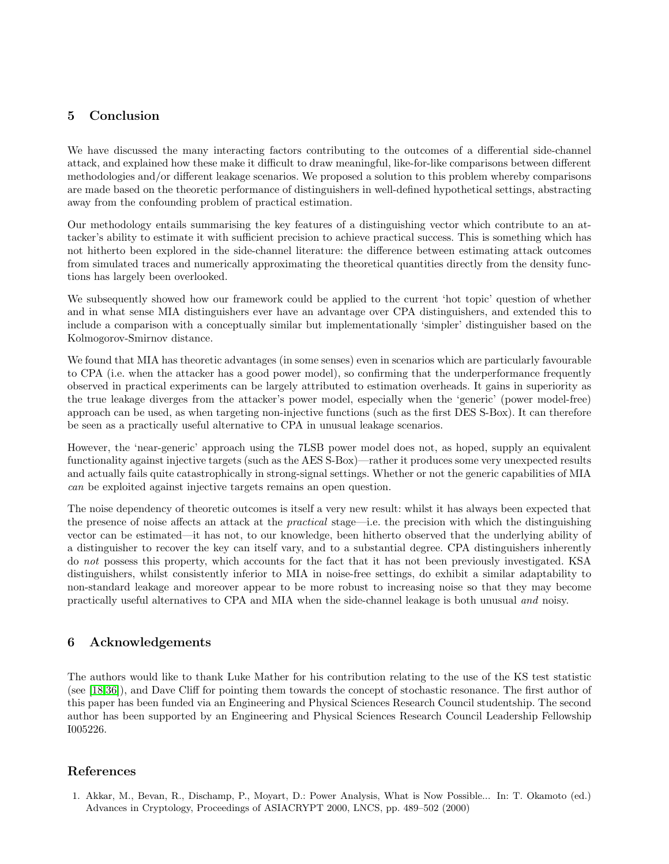# <span id="page-17-0"></span>5 Conclusion

We have discussed the many interacting factors contributing to the outcomes of a differential side-channel attack, and explained how these make it difficult to draw meaningful, like-for-like comparisons between different methodologies and/or different leakage scenarios. We proposed a solution to this problem whereby comparisons are made based on the theoretic performance of distinguishers in well-defined hypothetical settings, abstracting away from the confounding problem of practical estimation.

Our methodology entails summarising the key features of a distinguishing vector which contribute to an attacker's ability to estimate it with sufficient precision to achieve practical success. This is something which has not hitherto been explored in the side-channel literature: the difference between estimating attack outcomes from simulated traces and numerically approximating the theoretical quantities directly from the density functions has largely been overlooked.

We subsequently showed how our framework could be applied to the current 'hot topic' question of whether and in what sense MIA distinguishers ever have an advantage over CPA distinguishers, and extended this to include a comparison with a conceptually similar but implementationally 'simpler' distinguisher based on the Kolmogorov-Smirnov distance.

We found that MIA has theoretic advantages (in some senses) even in scenarios which are particularly favourable to CPA (i.e. when the attacker has a good power model), so confirming that the underperformance frequently observed in practical experiments can be largely attributed to estimation overheads. It gains in superiority as the true leakage diverges from the attacker's power model, especially when the 'generic' (power model-free) approach can be used, as when targeting non-injective functions (such as the first DES S-Box). It can therefore be seen as a practically useful alternative to CPA in unusual leakage scenarios.

However, the 'near-generic' approach using the 7LSB power model does not, as hoped, supply an equivalent functionality against injective targets (such as the AES S-Box)—rather it produces some very unexpected results and actually fails quite catastrophically in strong-signal settings. Whether or not the generic capabilities of MIA can be exploited against injective targets remains an open question.

The noise dependency of theoretic outcomes is itself a very new result: whilst it has always been expected that the presence of noise affects an attack at the practical stage—i.e. the precision with which the distinguishing vector can be estimated—it has not, to our knowledge, been hitherto observed that the underlying ability of a distinguisher to recover the key can itself vary, and to a substantial degree. CPA distinguishers inherently do not possess this property, which accounts for the fact that it has not been previously investigated. KSA distinguishers, whilst consistently inferior to MIA in noise-free settings, do exhibit a similar adaptability to non-standard leakage and moreover appear to be more robust to increasing noise so that they may become practically useful alternatives to CPA and MIA when the side-channel leakage is both unusual and noisy.

# 6 Acknowledgements

The authors would like to thank Luke Mather for his contribution relating to the use of the KS test statistic (see [\[18](#page-18-28)[,36\]](#page-19-2)), and Dave Cliff for pointing them towards the concept of stochastic resonance. The first author of this paper has been funded via an Engineering and Physical Sciences Research Council studentship. The second author has been supported by an Engineering and Physical Sciences Research Council Leadership Fellowship I005226.

# References

<span id="page-17-1"></span>1. Akkar, M., Bevan, R., Dischamp, P., Moyart, D.: Power Analysis, What is Now Possible... In: T. Okamoto (ed.) Advances in Cryptology, Proceedings of ASIACRYPT 2000, LNCS, pp. 489–502 (2000)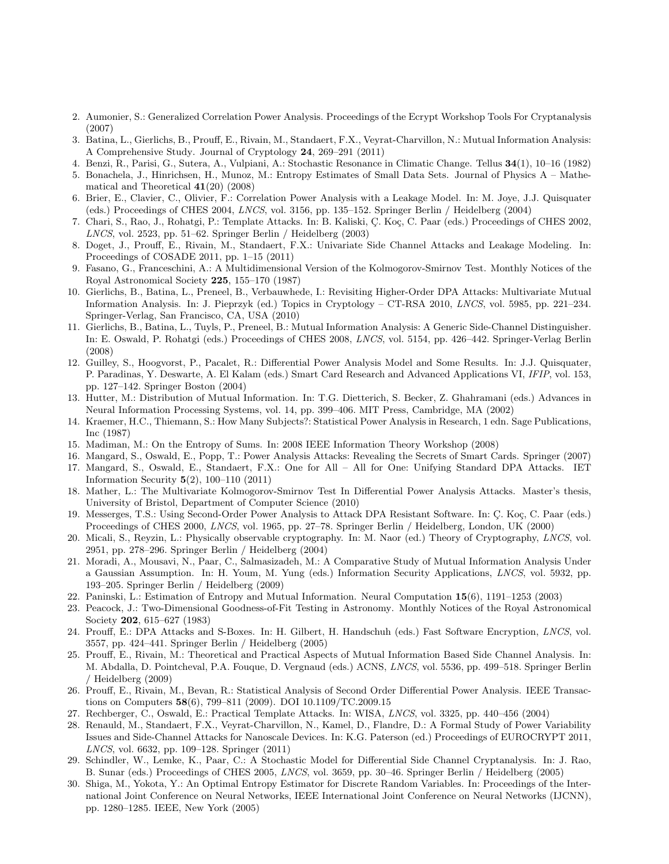- <span id="page-18-14"></span>2. Aumonier, S.: Generalized Correlation Power Analysis. Proceedings of the Ecrypt Workshop Tools For Cryptanalysis (2007)
- <span id="page-18-1"></span>3. Batina, L., Gierlichs, B., Prouff, E., Rivain, M., Standaert, F.X., Veyrat-Charvillon, N.: Mutual Information Analysis: A Comprehensive Study. Journal of Cryptology 24, 269–291 (2011)
- <span id="page-18-24"></span>4. Benzi, R., Parisi, G., Sutera, A., Vulpiani, A.: Stochastic Resonance in Climatic Change. Tellus 34(1), 10–16 (1982)
- <span id="page-18-17"></span>5. Bonachela, J., Hinrichsen, H., Munoz, M.: Entropy Estimates of Small Data Sets. Journal of Physics A – Mathematical and Theoretical 41(20) (2008)
- <span id="page-18-5"></span>6. Brier, E., Clavier, C., Olivier, F.: Correlation Power Analysis with a Leakage Model. In: M. Joye, J.J. Quisquater (eds.) Proceedings of CHES 2004, LNCS, vol. 3156, pp. 135–152. Springer Berlin / Heidelberg (2004)
- <span id="page-18-25"></span>7. Chari, S., Rao, J., Rohatgi, P.: Template Attacks. In: B. Kaliski, Ç. Koç, C. Paar (eds.) Proceedings of CHES 2002,  $LNCS$ , vol. 2523, pp. 51–62. Springer Berlin / Heidelberg  $(2003)$
- <span id="page-18-9"></span>8. Doget, J., Prouff, E., Rivain, M., Standaert, F.X.: Univariate Side Channel Attacks and Leakage Modeling. In: Proceedings of COSADE 2011, pp. 1–15 (2011)
- <span id="page-18-23"></span>9. Fasano, G., Franceschini, A.: A Multidimensional Version of the Kolmogorov-Smirnov Test. Monthly Notices of the Royal Astronomical Society 225, 155–170 (1987)
- <span id="page-18-27"></span>10. Gierlichs, B., Batina, L., Preneel, B., Verbauwhede, I.: Revisiting Higher-Order DPA Attacks: Multivariate Mutual Information Analysis. In: J. Pieprzyk (ed.) Topics in Cryptology – CT-RSA 2010, LNCS, vol. 5985, pp. 221–234. Springer-Verlag, San Francisco, CA, USA (2010)
- <span id="page-18-0"></span>11. Gierlichs, B., Batina, L., Tuyls, P., Preneel, B.: Mutual Information Analysis: A Generic Side-Channel Distinguisher. In: E. Oswald, P. Rohatgi (eds.) Proceedings of CHES 2008, LNCS, vol. 5154, pp. 426–442. Springer-Verlag Berlin (2008)
- <span id="page-18-7"></span>12. Guilley, S., Hoogvorst, P., Pacalet, R.: Differential Power Analysis Model and Some Results. In: J.J. Quisquater, P. Paradinas, Y. Deswarte, A. El Kalam (eds.) Smart Card Research and Advanced Applications VI, IFIP, vol. 153, pp. 127–142. Springer Boston (2004)
- <span id="page-18-18"></span>13. Hutter, M.: Distribution of Mutual Information. In: T.G. Dietterich, S. Becker, Z. Ghahramani (eds.) Advances in Neural Information Processing Systems, vol. 14, pp. 399–406. MIT Press, Cambridge, MA (2002)
- <span id="page-18-13"></span>14. Kraemer, H.C., Thiemann, S.: How Many Subjects?: Statistical Power Analysis in Research, 1 edn. Sage Publications, Inc (1987)
- <span id="page-18-21"></span>15. Madiman, M.: On the Entropy of Sums. In: 2008 IEEE Information Theory Workshop (2008)
- <span id="page-18-12"></span>16. Mangard, S., Oswald, E., Popp, T.: Power Analysis Attacks: Revealing the Secrets of Smart Cards. Springer (2007)
- <span id="page-18-4"></span>17. Mangard, S., Oswald, E., Standaert, F.X.: One for All – All for One: Unifying Standard DPA Attacks. IET Information Security 5(2), 100–110 (2011)
- <span id="page-18-28"></span>18. Mather, L.: The Multivariate Kolmogorov-Smirnov Test In Differential Power Analysis Attacks. Master's thesis, University of Bristol, Department of Computer Science (2010)
- <span id="page-18-15"></span>19. Messerges, T.S.: Using Second-Order Power Analysis to Attack DPA Resistant Software. In: Ç. Koç, C. Paar (eds.) Proceedings of CHES 2000, LNCS, vol. 1965, pp. 27–78. Springer Berlin / Heidelberg, London, UK (2000)
- <span id="page-18-6"></span>20. Micali, S., Reyzin, L.: Physically observable cryptography. In: M. Naor (ed.) Theory of Cryptography, LNCS, vol. 2951, pp. 278–296. Springer Berlin / Heidelberg (2004)
- <span id="page-18-2"></span>21. Moradi, A., Mousavi, N., Paar, C., Salmasizadeh, M.: A Comparative Study of Mutual Information Analysis Under a Gaussian Assumption. In: H. Youm, M. Yung (eds.) Information Security Applications, LNCS, vol. 5932, pp. 193–205. Springer Berlin / Heidelberg (2009)
- <span id="page-18-19"></span>22. Paninski, L.: Estimation of Entropy and Mutual Information. Neural Computation 15(6), 1191–1253 (2003)
- <span id="page-18-22"></span>23. Peacock, J.: Two-Dimensional Goodness-of-Fit Testing in Astronomy. Monthly Notices of the Royal Astronomical Society 202, 615–627 (1983)
- <span id="page-18-8"></span>24. Prouff, E.: DPA Attacks and S-Boxes. In: H. Gilbert, H. Handschuh (eds.) Fast Software Encryption, LNCS, vol. 3557, pp. 424–441. Springer Berlin / Heidelberg (2005)
- <span id="page-18-3"></span>25. Prouff, E., Rivain, M.: Theoretical and Practical Aspects of Mutual Information Based Side Channel Analysis. In: M. Abdalla, D. Pointcheval, P.A. Fouque, D. Vergnaud (eds.) ACNS, LNCS, vol. 5536, pp. 499–518. Springer Berlin / Heidelberg (2009)
- <span id="page-18-16"></span>26. Prouff, E., Rivain, M., Bevan, R.: Statistical Analysis of Second Order Differential Power Analysis. IEEE Transactions on Computers 58(6), 799–811 (2009). DOI 10.1109/TC.2009.15
- <span id="page-18-26"></span>27. Rechberger, C., Oswald, E.: Practical Template Attacks. In: WISA, LNCS, vol. 3325, pp. 440–456 (2004)
- <span id="page-18-11"></span>28. Renauld, M., Standaert, F.X., Veyrat-Charvillon, N., Kamel, D., Flandre, D.: A Formal Study of Power Variability Issues and Side-Channel Attacks for Nanoscale Devices. In: K.G. Paterson (ed.) Proceedings of EUROCRYPT 2011, LNCS, vol. 6632, pp. 109–128. Springer (2011)
- <span id="page-18-10"></span>29. Schindler, W., Lemke, K., Paar, C.: A Stochastic Model for Differential Side Channel Cryptanalysis. In: J. Rao, B. Sunar (eds.) Proceedings of CHES 2005, LNCS, vol. 3659, pp. 30–46. Springer Berlin / Heidelberg (2005)
- <span id="page-18-20"></span>30. Shiga, M., Yokota, Y.: An Optimal Entropy Estimator for Discrete Random Variables. In: Proceedings of the International Joint Conference on Neural Networks, IEEE International Joint Conference on Neural Networks (IJCNN), pp. 1280–1285. IEEE, New York (2005)